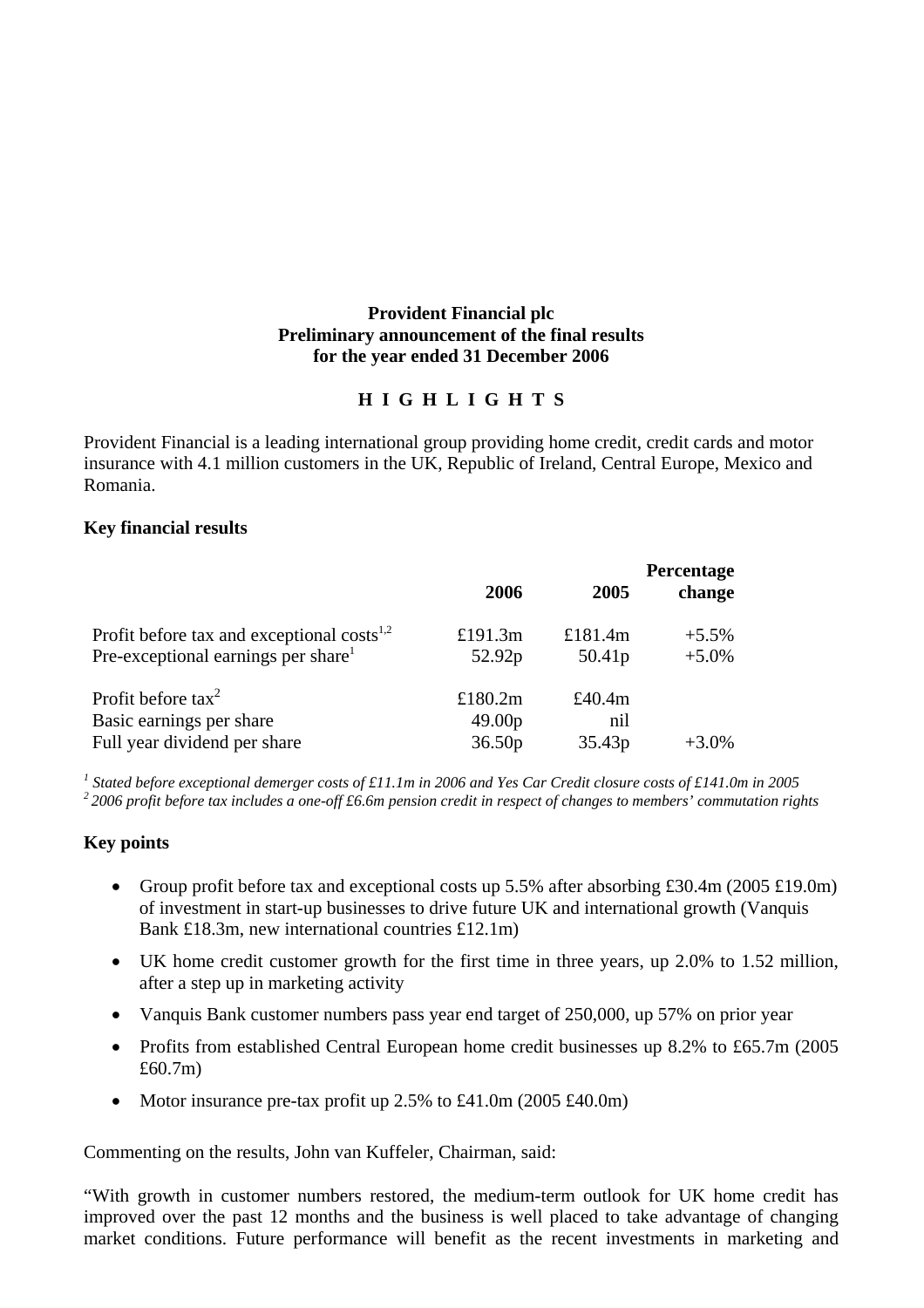#### **Provident Financial plc Preliminary announcement of the final results for the year ended 31 December 2006**

## **H I G H L I G H T S**

Provident Financial is a leading international group providing home credit, credit cards and motor insurance with 4.1 million customers in the UK, Republic of Ireland, Central Europe, Mexico and Romania.

#### **Key financial results**

|                                                        | 2006               | 2005               | Percentage<br>change |
|--------------------------------------------------------|--------------------|--------------------|----------------------|
| Profit before tax and exceptional costs <sup>1,2</sup> | £191.3 $m$         | £181.4 $m$         | $+5.5\%$             |
| Pre-exceptional earnings per share <sup>1</sup>        | 52.92p             | 50.41p             | $+5.0%$              |
| Profit before $\arctan^2$                              | £180.2 $m$         | £40.4 $m$          |                      |
| Basic earnings per share                               | 49.00 <sub>p</sub> | nil                |                      |
| Full year dividend per share                           | 36.50 <sub>p</sub> | 35.43 <sub>p</sub> | $+3.0\%$             |

<sup>1</sup> Stated before exceptional demerger costs of £11.1m in 2006 and Yes Car Credit closure costs of £141.0m in 2005  $22006$  profit before tax includes a one-off £6.6m pension credit in respect of changes to members' commutation rights

## **Key points**

- Group profit before tax and exceptional costs up  $5.5\%$  after absorbing £30.4m (2005 £19.0m) of investment in start-up businesses to drive future UK and international growth (Vanquis Bank £18.3m, new international countries £12.1m)
- UK home credit customer growth for the first time in three years, up 2.0% to 1.52 million, after a step up in marketing activity
- Vanquis Bank customer numbers pass year end target of 250,000, up 57% on prior year
- Profits from established Central European home credit businesses up 8.2% to £65.7m (2005) £60.7m)
- Motor insurance pre-tax profit up 2.5% to £41.0m (2005 £40.0m)

Commenting on the results, John van Kuffeler, Chairman, said:

"With growth in customer numbers restored, the medium-term outlook for UK home credit has improved over the past 12 months and the business is well placed to take advantage of changing market conditions. Future performance will benefit as the recent investments in marketing and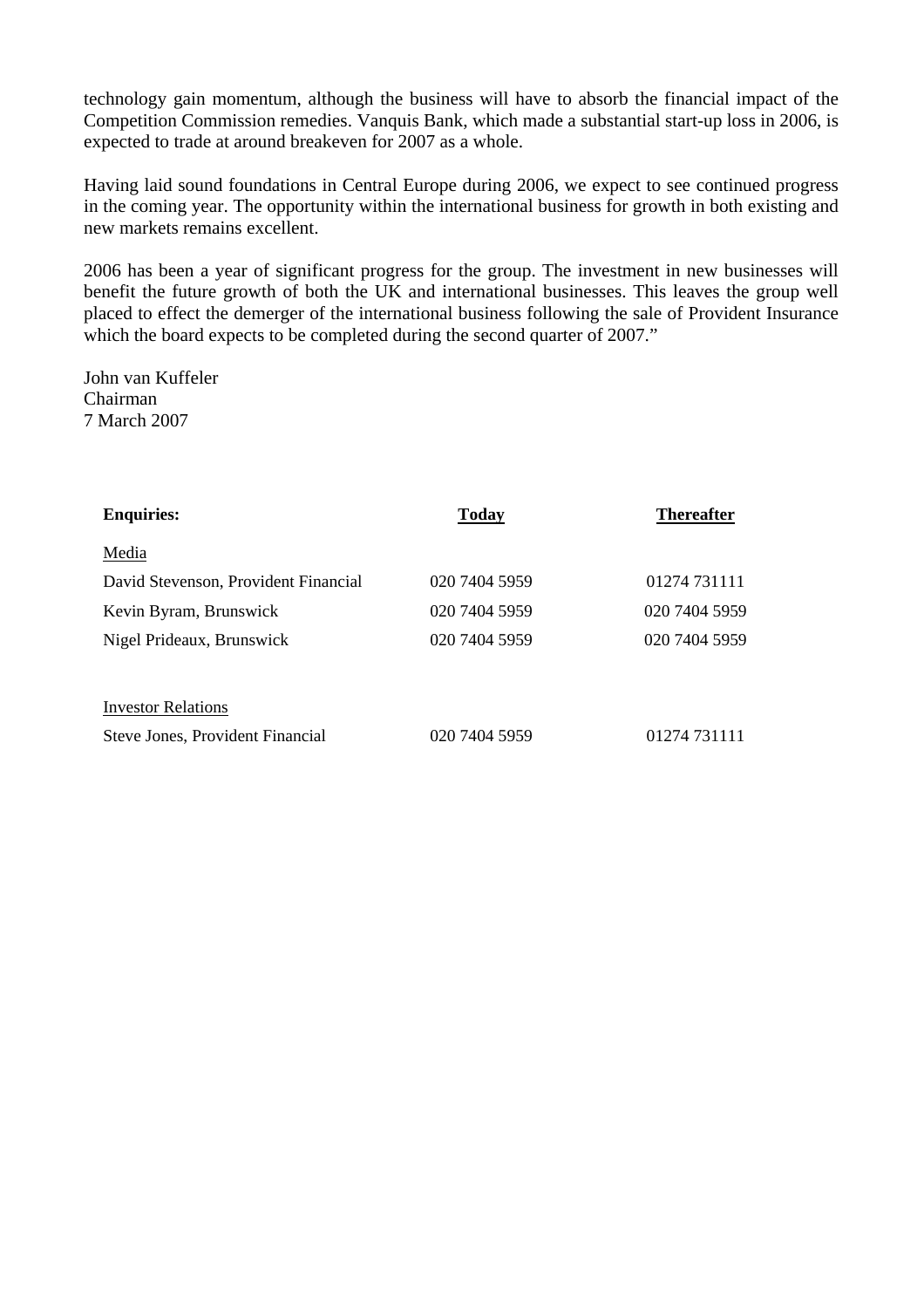technology gain momentum, although the business will have to absorb the financial impact of the Competition Commission remedies. Vanquis Bank, which made a substantial start-up loss in 2006, is expected to trade at around breakeven for 2007 as a whole.

Having laid sound foundations in Central Europe during 2006, we expect to see continued progress in the coming year. The opportunity within the international business for growth in both existing and new markets remains excellent.

2006 has been a year of significant progress for the group. The investment in new businesses will benefit the future growth of both the UK and international businesses. This leaves the group well placed to effect the demerger of the international business following the sale of Provident Insurance which the board expects to be completed during the second quarter of 2007."

John van Kuffeler Chairman 7 March 2007

| <b>Enquiries:</b>                       | Today         | <b>Thereafter</b> |
|-----------------------------------------|---------------|-------------------|
| Media                                   |               |                   |
| David Stevenson, Provident Financial    | 020 7404 5959 | 01274 731111      |
| Kevin Byram, Brunswick                  | 020 7404 5959 | 020 7404 5959     |
| Nigel Prideaux, Brunswick               | 020 7404 5959 | 020 7404 5959     |
|                                         |               |                   |
| <b>Investor Relations</b>               |               |                   |
| <b>Steve Jones, Provident Financial</b> | 020 7404 5959 | 01274 731111      |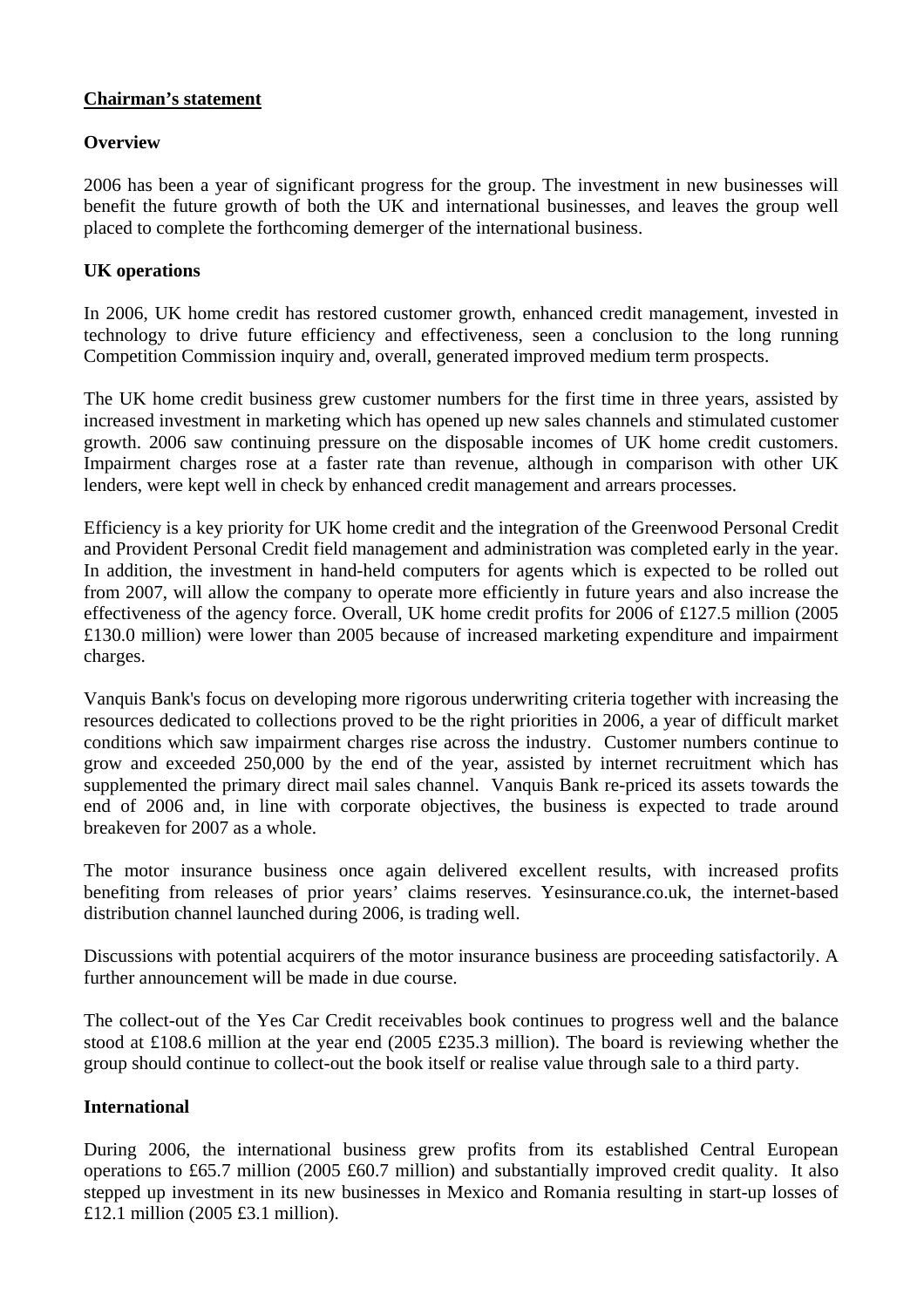## **Chairman's statement**

## **Overview**

2006 has been a year of significant progress for the group. The investment in new businesses will benefit the future growth of both the UK and international businesses, and leaves the group well placed to complete the forthcoming demerger of the international business.

## **UK operations**

In 2006, UK home credit has restored customer growth, enhanced credit management, invested in technology to drive future efficiency and effectiveness, seen a conclusion to the long running Competition Commission inquiry and, overall, generated improved medium term prospects.

The UK home credit business grew customer numbers for the first time in three years, assisted by increased investment in marketing which has opened up new sales channels and stimulated customer growth. 2006 saw continuing pressure on the disposable incomes of UK home credit customers. Impairment charges rose at a faster rate than revenue, although in comparison with other UK lenders, were kept well in check by enhanced credit management and arrears processes.

Efficiency is a key priority for UK home credit and the integration of the Greenwood Personal Credit and Provident Personal Credit field management and administration was completed early in the year. In addition, the investment in hand-held computers for agents which is expected to be rolled out from 2007, will allow the company to operate more efficiently in future years and also increase the effectiveness of the agency force. Overall, UK home credit profits for 2006 of £127.5 million (2005 £130.0 million) were lower than 2005 because of increased marketing expenditure and impairment charges.

Vanquis Bank's focus on developing more rigorous underwriting criteria together with increasing the resources dedicated to collections proved to be the right priorities in 2006, a year of difficult market conditions which saw impairment charges rise across the industry. Customer numbers continue to grow and exceeded 250,000 by the end of the year, assisted by internet recruitment which has supplemented the primary direct mail sales channel. Vanquis Bank re-priced its assets towards the end of 2006 and, in line with corporate objectives, the business is expected to trade around breakeven for 2007 as a whole.

The motor insurance business once again delivered excellent results, with increased profits benefiting from releases of prior years' claims reserves. Yesinsurance.co.uk, the internet-based distribution channel launched during 2006, is trading well.

Discussions with potential acquirers of the motor insurance business are proceeding satisfactorily. A further announcement will be made in due course.

The collect-out of the Yes Car Credit receivables book continues to progress well and the balance stood at £108.6 million at the year end (2005 £235.3 million). The board is reviewing whether the group should continue to collect-out the book itself or realise value through sale to a third party.

#### **International**

During 2006, the international business grew profits from its established Central European operations to £65.7 million (2005 £60.7 million) and substantially improved credit quality. It also stepped up investment in its new businesses in Mexico and Romania resulting in start-up losses of £12.1 million (2005 £3.1 million).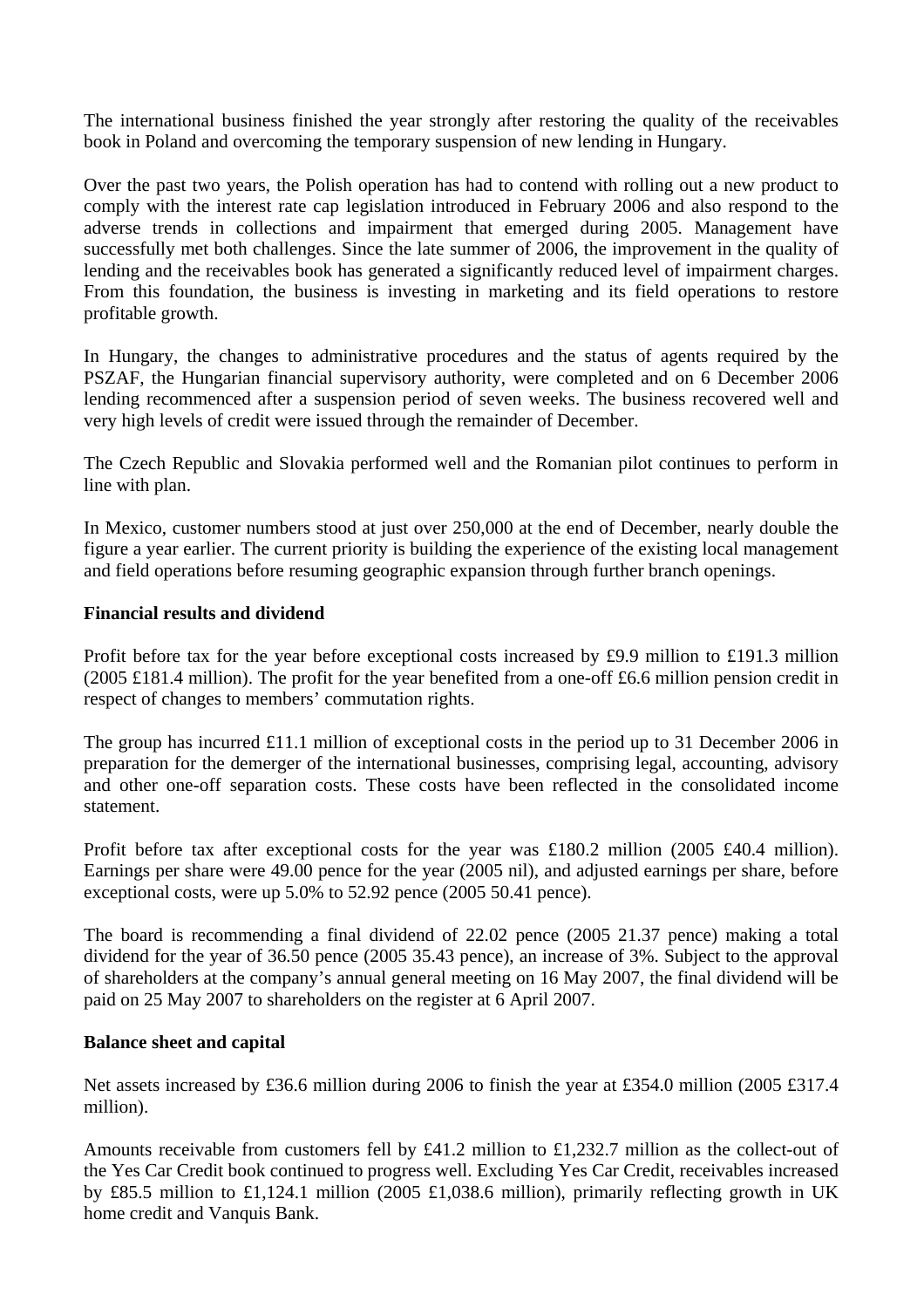The international business finished the year strongly after restoring the quality of the receivables book in Poland and overcoming the temporary suspension of new lending in Hungary.

Over the past two years, the Polish operation has had to contend with rolling out a new product to comply with the interest rate cap legislation introduced in February 2006 and also respond to the adverse trends in collections and impairment that emerged during 2005. Management have successfully met both challenges. Since the late summer of 2006, the improvement in the quality of lending and the receivables book has generated a significantly reduced level of impairment charges. From this foundation, the business is investing in marketing and its field operations to restore profitable growth.

In Hungary, the changes to administrative procedures and the status of agents required by the PSZAF, the Hungarian financial supervisory authority, were completed and on 6 December 2006 lending recommenced after a suspension period of seven weeks. The business recovered well and very high levels of credit were issued through the remainder of December.

The Czech Republic and Slovakia performed well and the Romanian pilot continues to perform in line with plan.

In Mexico, customer numbers stood at just over 250,000 at the end of December, nearly double the figure a year earlier. The current priority is building the experience of the existing local management and field operations before resuming geographic expansion through further branch openings.

## **Financial results and dividend**

Profit before tax for the year before exceptional costs increased by £9.9 million to £191.3 million (2005 £181.4 million). The profit for the year benefited from a one-off £6.6 million pension credit in respect of changes to members' commutation rights.

The group has incurred £11.1 million of exceptional costs in the period up to 31 December 2006 in preparation for the demerger of the international businesses, comprising legal, accounting, advisory and other one-off separation costs. These costs have been reflected in the consolidated income statement.

Profit before tax after exceptional costs for the year was £180.2 million (2005 £40.4 million). Earnings per share were 49.00 pence for the year (2005 nil), and adjusted earnings per share, before exceptional costs, were up 5.0% to 52.92 pence (2005 50.41 pence).

The board is recommending a final dividend of 22.02 pence (2005 21.37 pence) making a total dividend for the year of 36.50 pence (2005 35.43 pence), an increase of 3%. Subject to the approval of shareholders at the company's annual general meeting on 16 May 2007, the final dividend will be paid on 25 May 2007 to shareholders on the register at 6 April 2007.

#### **Balance sheet and capital**

Net assets increased by £36.6 million during 2006 to finish the year at £354.0 million (2005 £317.4 million).

Amounts receivable from customers fell by £41.2 million to £1,232.7 million as the collect-out of the Yes Car Credit book continued to progress well. Excluding Yes Car Credit, receivables increased by £85.5 million to £1,124.1 million (2005 £1,038.6 million), primarily reflecting growth in UK home credit and Vanquis Bank.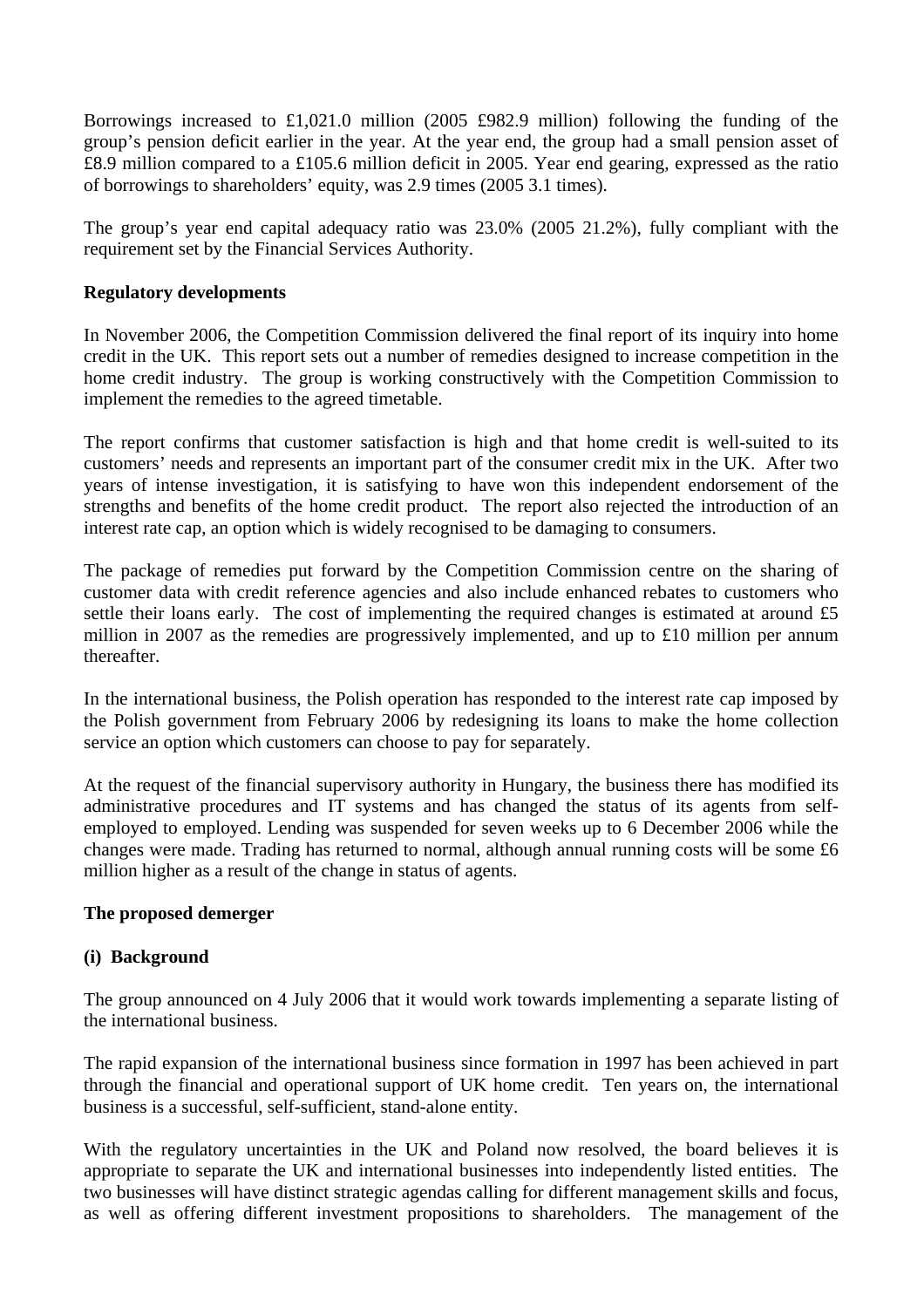Borrowings increased to £1,021.0 million (2005 £982.9 million) following the funding of the group's pension deficit earlier in the year. At the year end, the group had a small pension asset of £8.9 million compared to a £105.6 million deficit in 2005. Year end gearing, expressed as the ratio of borrowings to shareholders' equity, was 2.9 times (2005 3.1 times).

The group's year end capital adequacy ratio was 23.0% (2005 21.2%), fully compliant with the requirement set by the Financial Services Authority.

## **Regulatory developments**

In November 2006, the Competition Commission delivered the final report of its inquiry into home credit in the UK. This report sets out a number of remedies designed to increase competition in the home credit industry. The group is working constructively with the Competition Commission to implement the remedies to the agreed timetable.

The report confirms that customer satisfaction is high and that home credit is well-suited to its customers' needs and represents an important part of the consumer credit mix in the UK. After two years of intense investigation, it is satisfying to have won this independent endorsement of the strengths and benefits of the home credit product. The report also rejected the introduction of an interest rate cap, an option which is widely recognised to be damaging to consumers.

The package of remedies put forward by the Competition Commission centre on the sharing of customer data with credit reference agencies and also include enhanced rebates to customers who settle their loans early. The cost of implementing the required changes is estimated at around £5 million in 2007 as the remedies are progressively implemented, and up to £10 million per annum thereafter.

In the international business, the Polish operation has responded to the interest rate cap imposed by the Polish government from February 2006 by redesigning its loans to make the home collection service an option which customers can choose to pay for separately.

At the request of the financial supervisory authority in Hungary, the business there has modified its administrative procedures and IT systems and has changed the status of its agents from selfemployed to employed. Lending was suspended for seven weeks up to 6 December 2006 while the changes were made. Trading has returned to normal, although annual running costs will be some £6 million higher as a result of the change in status of agents.

#### **The proposed demerger**

## **(i) Background**

The group announced on 4 July 2006 that it would work towards implementing a separate listing of the international business.

The rapid expansion of the international business since formation in 1997 has been achieved in part through the financial and operational support of UK home credit. Ten years on, the international business is a successful, self-sufficient, stand-alone entity.

With the regulatory uncertainties in the UK and Poland now resolved, the board believes it is appropriate to separate the UK and international businesses into independently listed entities. The two businesses will have distinct strategic agendas calling for different management skills and focus, as well as offering different investment propositions to shareholders. The management of the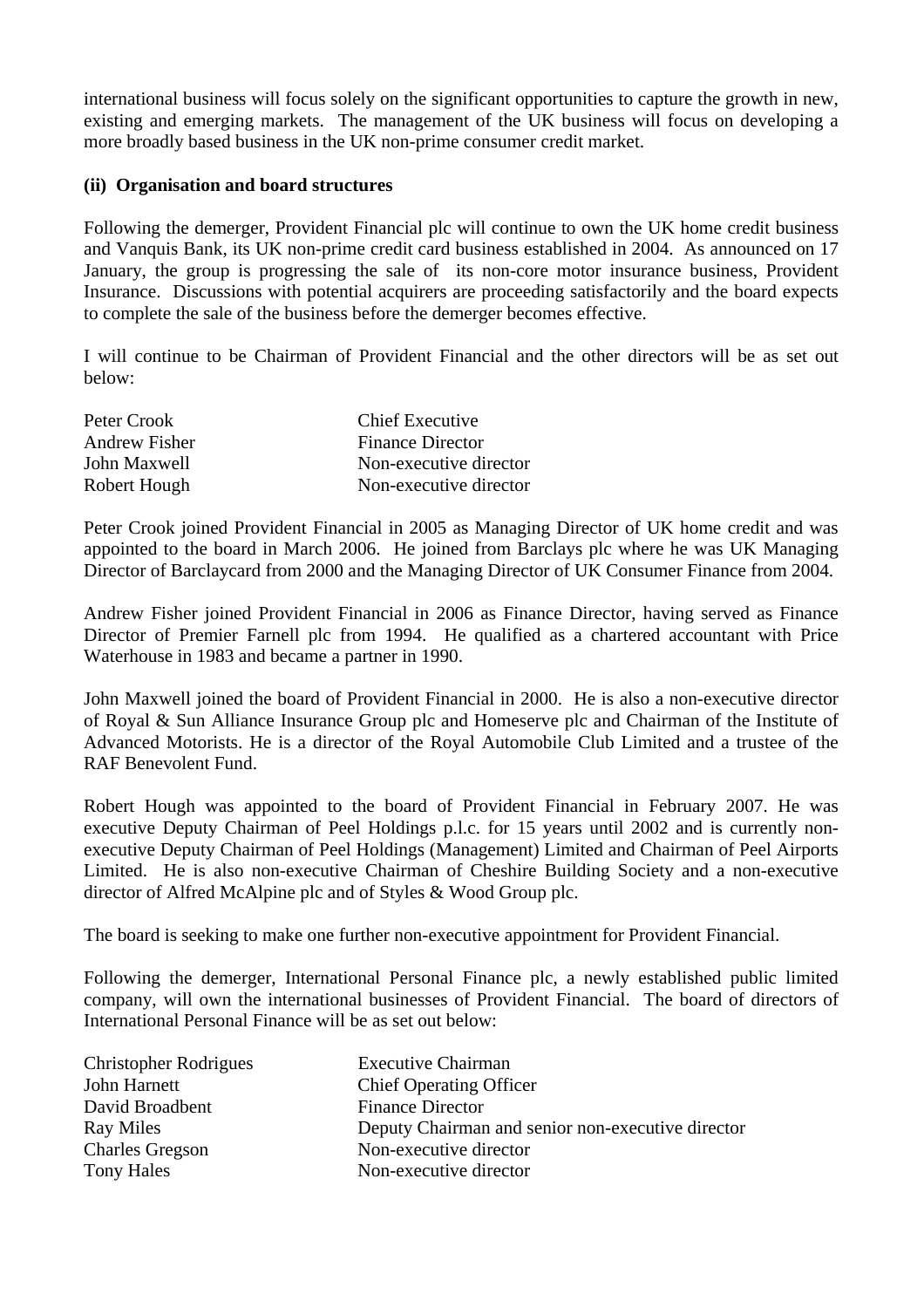international business will focus solely on the significant opportunities to capture the growth in new, existing and emerging markets. The management of the UK business will focus on developing a more broadly based business in the UK non-prime consumer credit market.

#### **(ii) Organisation and board structures**

Following the demerger, Provident Financial plc will continue to own the UK home credit business and Vanquis Bank, its UK non-prime credit card business established in 2004. As announced on 17 January, the group is progressing the sale of its non-core motor insurance business, Provident Insurance. Discussions with potential acquirers are proceeding satisfactorily and the board expects to complete the sale of the business before the demerger becomes effective.

I will continue to be Chairman of Provident Financial and the other directors will be as set out below:

| Peter Crook          | <b>Chief Executive</b>  |
|----------------------|-------------------------|
| <b>Andrew Fisher</b> | <b>Finance Director</b> |
| John Maxwell         | Non-executive director  |
| Robert Hough         | Non-executive director  |

Peter Crook joined Provident Financial in 2005 as Managing Director of UK home credit and was appointed to the board in March 2006. He joined from Barclays plc where he was UK Managing Director of Barclaycard from 2000 and the Managing Director of UK Consumer Finance from 2004.

Andrew Fisher joined Provident Financial in 2006 as Finance Director, having served as Finance Director of Premier Farnell plc from 1994. He qualified as a chartered accountant with Price Waterhouse in 1983 and became a partner in 1990.

John Maxwell joined the board of Provident Financial in 2000. He is also a non-executive director of Royal & Sun Alliance Insurance Group plc and Homeserve plc and Chairman of the Institute of Advanced Motorists. He is a director of the Royal Automobile Club Limited and a trustee of the RAF Benevolent Fund.

Robert Hough was appointed to the board of Provident Financial in February 2007. He was executive Deputy Chairman of Peel Holdings p.l.c. for 15 years until 2002 and is currently nonexecutive Deputy Chairman of Peel Holdings (Management) Limited and Chairman of Peel Airports Limited. He is also non-executive Chairman of Cheshire Building Society and a non-executive director of Alfred McAlpine plc and of Styles & Wood Group plc.

The board is seeking to make one further non-executive appointment for Provident Financial.

Following the demerger, International Personal Finance plc, a newly established public limited company, will own the international businesses of Provident Financial. The board of directors of International Personal Finance will be as set out below:

| <b>Executive Chairman</b>                         |
|---------------------------------------------------|
| <b>Chief Operating Officer</b>                    |
| <b>Finance Director</b>                           |
| Deputy Chairman and senior non-executive director |
| Non-executive director                            |
| Non-executive director                            |
|                                                   |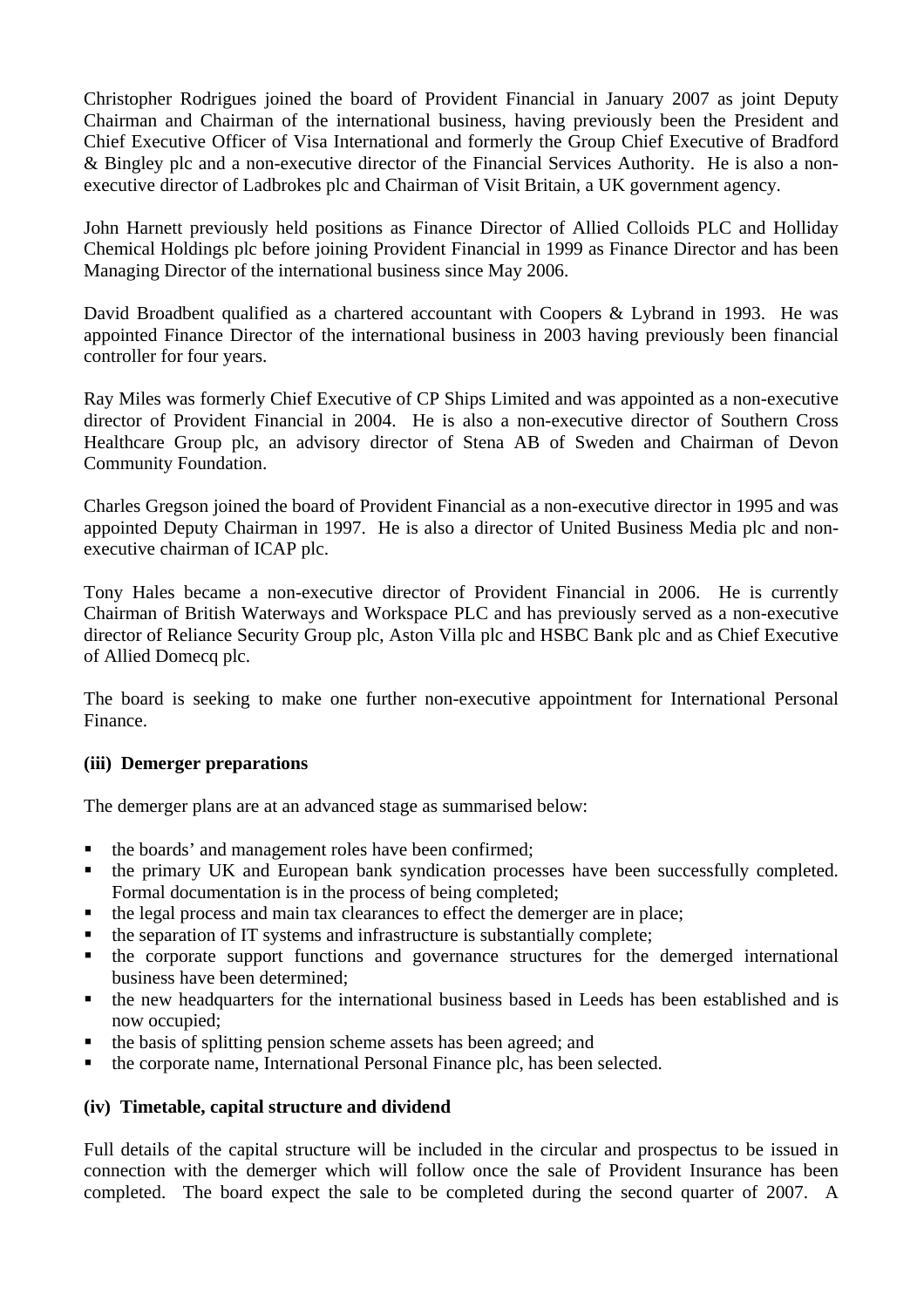Christopher Rodrigues joined the board of Provident Financial in January 2007 as joint Deputy Chairman and Chairman of the international business, having previously been the President and Chief Executive Officer of Visa International and formerly the Group Chief Executive of Bradford & Bingley plc and a non-executive director of the Financial Services Authority. He is also a nonexecutive director of Ladbrokes plc and Chairman of Visit Britain, a UK government agency.

John Harnett previously held positions as Finance Director of Allied Colloids PLC and Holliday Chemical Holdings plc before joining Provident Financial in 1999 as Finance Director and has been Managing Director of the international business since May 2006.

David Broadbent qualified as a chartered accountant with Coopers & Lybrand in 1993. He was appointed Finance Director of the international business in 2003 having previously been financial controller for four years.

Ray Miles was formerly Chief Executive of CP Ships Limited and was appointed as a non-executive director of Provident Financial in 2004. He is also a non-executive director of Southern Cross Healthcare Group plc, an advisory director of Stena AB of Sweden and Chairman of Devon Community Foundation.

Charles Gregson joined the board of Provident Financial as a non-executive director in 1995 and was appointed Deputy Chairman in 1997. He is also a director of United Business Media plc and nonexecutive chairman of ICAP plc.

Tony Hales became a non-executive director of Provident Financial in 2006. He is currently Chairman of British Waterways and Workspace PLC and has previously served as a non-executive director of Reliance Security Group plc, Aston Villa plc and HSBC Bank plc and as Chief Executive of Allied Domecq plc.

The board is seeking to make one further non-executive appointment for International Personal Finance.

## **(iii) Demerger preparations**

The demerger plans are at an advanced stage as summarised below:

- the boards' and management roles have been confirmed;
- the primary UK and European bank syndication processes have been successfully completed. Formal documentation is in the process of being completed;
- the legal process and main tax clearances to effect the demerger are in place;
- the separation of IT systems and infrastructure is substantially complete;
- the corporate support functions and governance structures for the demerged international business have been determined;
- the new headquarters for the international business based in Leeds has been established and is now occupied;
- the basis of splitting pension scheme assets has been agreed; and
- the corporate name, International Personal Finance plc, has been selected.

## **(iv) Timetable, capital structure and dividend**

Full details of the capital structure will be included in the circular and prospectus to be issued in connection with the demerger which will follow once the sale of Provident Insurance has been completed. The board expect the sale to be completed during the second quarter of 2007. A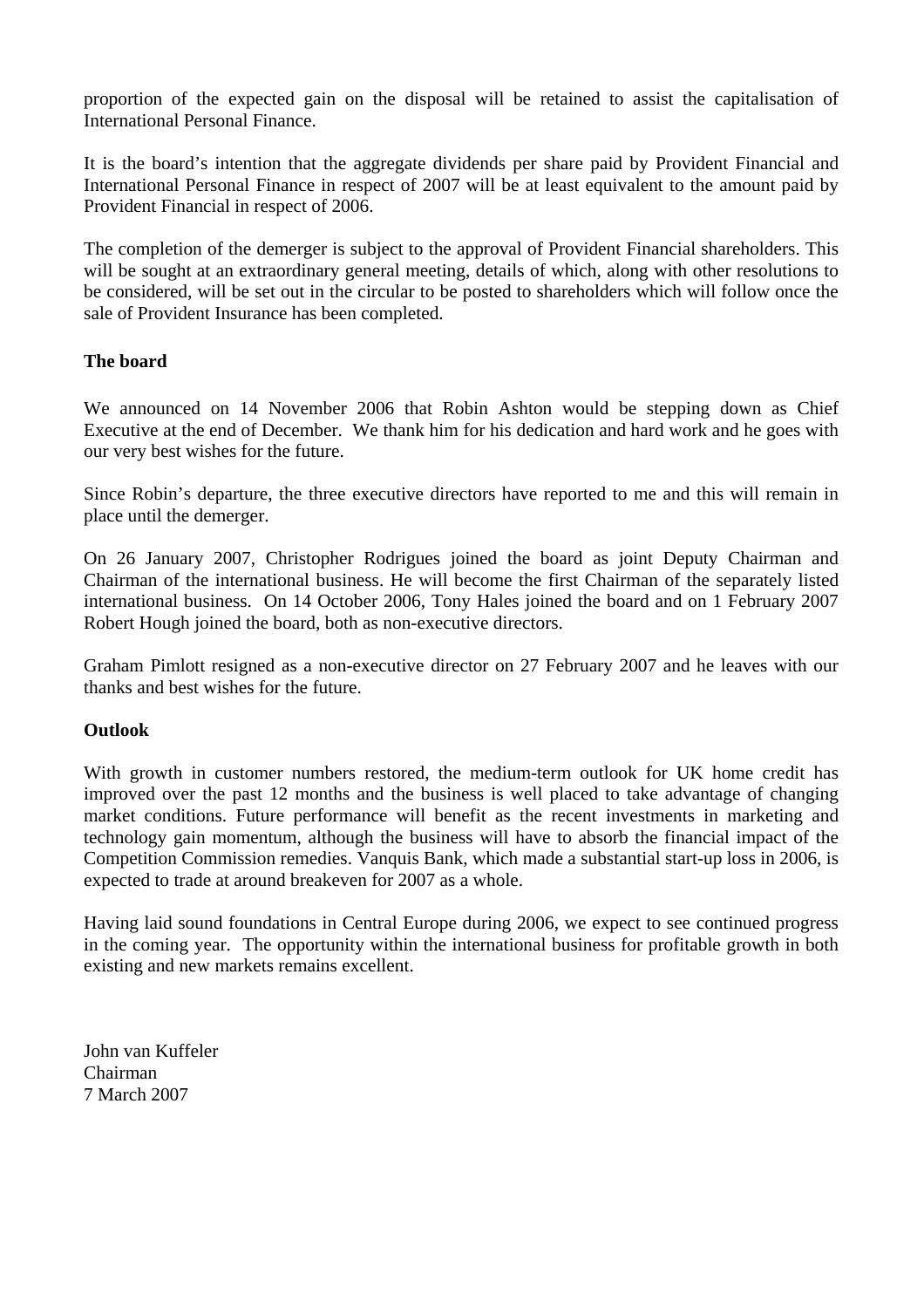proportion of the expected gain on the disposal will be retained to assist the capitalisation of International Personal Finance.

It is the board's intention that the aggregate dividends per share paid by Provident Financial and International Personal Finance in respect of 2007 will be at least equivalent to the amount paid by Provident Financial in respect of 2006.

The completion of the demerger is subject to the approval of Provident Financial shareholders. This will be sought at an extraordinary general meeting, details of which, along with other resolutions to be considered, will be set out in the circular to be posted to shareholders which will follow once the sale of Provident Insurance has been completed.

## **The board**

We announced on 14 November 2006 that Robin Ashton would be stepping down as Chief Executive at the end of December. We thank him for his dedication and hard work and he goes with our very best wishes for the future.

Since Robin's departure, the three executive directors have reported to me and this will remain in place until the demerger.

On 26 January 2007, Christopher Rodrigues joined the board as joint Deputy Chairman and Chairman of the international business. He will become the first Chairman of the separately listed international business. On 14 October 2006, Tony Hales joined the board and on 1 February 2007 Robert Hough joined the board, both as non-executive directors.

Graham Pimlott resigned as a non-executive director on 27 February 2007 and he leaves with our thanks and best wishes for the future.

#### **Outlook**

With growth in customer numbers restored, the medium-term outlook for UK home credit has improved over the past 12 months and the business is well placed to take advantage of changing market conditions. Future performance will benefit as the recent investments in marketing and technology gain momentum, although the business will have to absorb the financial impact of the Competition Commission remedies. Vanquis Bank, which made a substantial start-up loss in 2006, is expected to trade at around breakeven for 2007 as a whole.

Having laid sound foundations in Central Europe during 2006, we expect to see continued progress in the coming year. The opportunity within the international business for profitable growth in both existing and new markets remains excellent.

John van Kuffeler Chairman 7 March 2007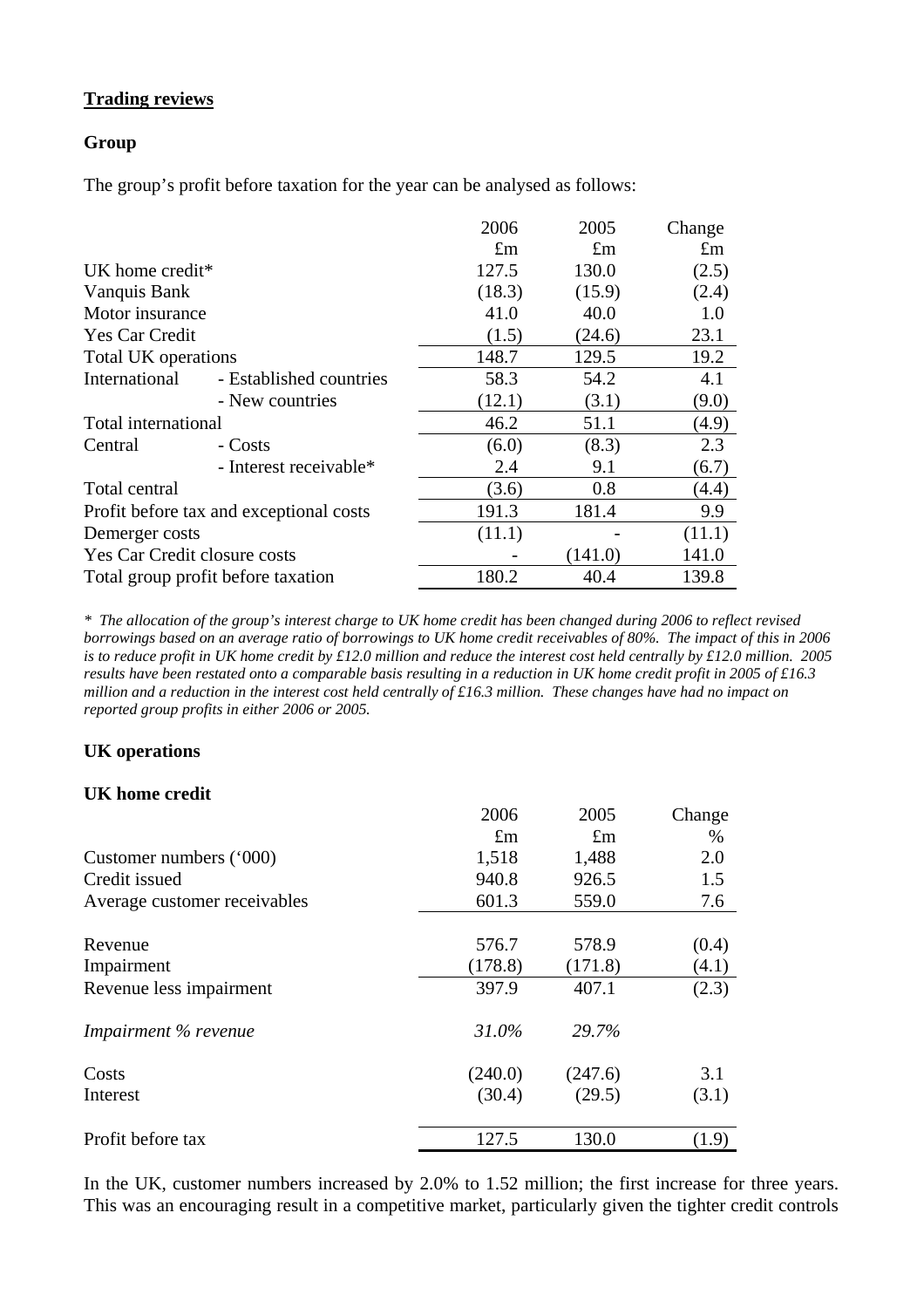## **Trading reviews**

#### **Group**

The group's profit before taxation for the year can be analysed as follows:

|                              |                                         | 2006        | 2005        | Change      |
|------------------------------|-----------------------------------------|-------------|-------------|-------------|
|                              |                                         | $\pounds$ m | $\pounds$ m | $\pounds$ m |
| UK home credit*              |                                         | 127.5       | 130.0       | (2.5)       |
| Vanquis Bank                 |                                         | (18.3)      | (15.9)      | (2.4)       |
| Motor insurance              |                                         | 41.0        | 40.0        | 1.0         |
| Yes Car Credit               |                                         | (1.5)       | (24.6)      | 23.1        |
| Total UK operations          |                                         | 148.7       | 129.5       | 19.2        |
| International                | - Established countries                 | 58.3        | 54.2        | 4.1         |
|                              | - New countries                         | (12.1)      | (3.1)       | (9.0)       |
| Total international          |                                         | 46.2        | 51.1        | (4.9)       |
| Central                      | - Costs                                 | (6.0)       | (8.3)       | 2.3         |
|                              | - Interest receivable*                  | 2.4         | 9.1         | (6.7)       |
| Total central                |                                         | (3.6)       | 0.8         | (4.4)       |
|                              | Profit before tax and exceptional costs | 191.3       | 181.4       | 9.9         |
| Demerger costs               |                                         | (11.1)      |             | (11.1)      |
| Yes Car Credit closure costs |                                         |             | (141.0)     | 141.0       |
|                              | Total group profit before taxation      | 180.2       | 40.4        | 139.8       |

*\* The allocation of the group's interest charge to UK home credit has been changed during 2006 to reflect revised borrowings based on an average ratio of borrowings to UK home credit receivables of 80%. The impact of this in 2006 is to reduce profit in UK home credit by £12.0 million and reduce the interest cost held centrally by £12.0 million. 2005 results have been restated onto a comparable basis resulting in a reduction in UK home credit profit in 2005 of £16.3 million and a reduction in the interest cost held centrally of £16.3 million. These changes have had no impact on reported group profits in either 2006 or 2005.*

## **UK operations**

#### **UK home credit**

|                              | 2006        | 2005        | Change |
|------------------------------|-------------|-------------|--------|
|                              | $\pounds$ m | $\pounds$ m | $\%$   |
| Customer numbers ('000)      | 1,518       | 1,488       | 2.0    |
| Credit issued                | 940.8       | 926.5       | 1.5    |
| Average customer receivables | 601.3       | 559.0       | 7.6    |
| Revenue                      | 576.7       | 578.9       | (0.4)  |
| Impairment                   | (178.8)     | (171.8)     | (4.1)  |
| Revenue less impairment      | 397.9       | 407.1       | (2.3)  |
| Impairment % revenue         | 31.0%       | 29.7%       |        |
| Costs                        | (240.0)     | (247.6)     | 3.1    |
| Interest                     | (30.4)      | (29.5)      | (3.1)  |
| Profit before tax            | 127.5       | 130.0       | (1.9)  |

In the UK, customer numbers increased by 2.0% to 1.52 million; the first increase for three years. This was an encouraging result in a competitive market, particularly given the tighter credit controls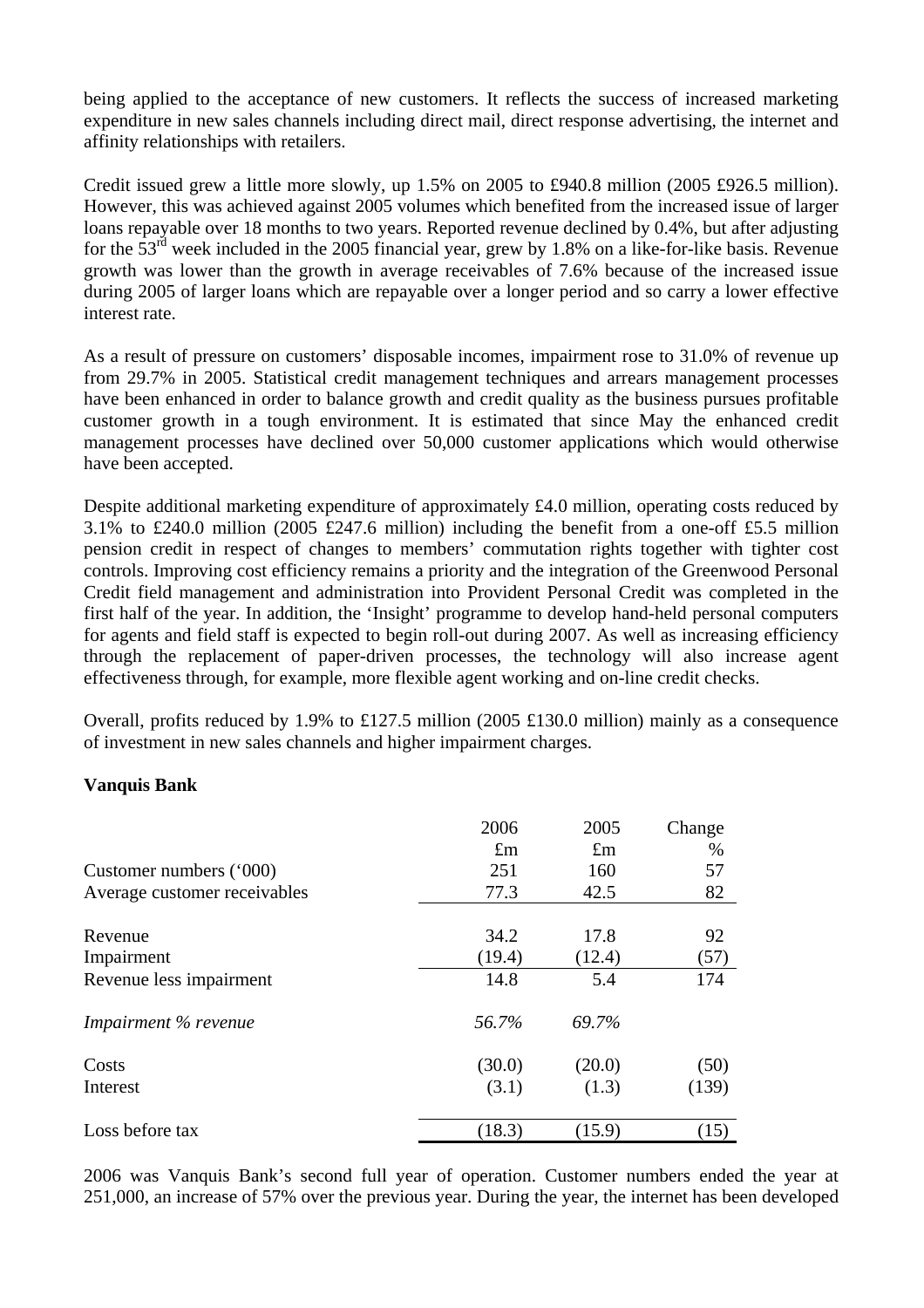being applied to the acceptance of new customers. It reflects the success of increased marketing expenditure in new sales channels including direct mail, direct response advertising, the internet and affinity relationships with retailers.

Credit issued grew a little more slowly, up 1.5% on 2005 to £940.8 million (2005 £926.5 million). However, this was achieved against 2005 volumes which benefited from the increased issue of larger loans repayable over 18 months to two years. Reported revenue declined by 0.4%, but after adjusting for the  $53<sup>rd</sup>$  week included in the 2005 financial year, grew by 1.8% on a like-for-like basis. Revenue growth was lower than the growth in average receivables of 7.6% because of the increased issue during 2005 of larger loans which are repayable over a longer period and so carry a lower effective interest rate.

As a result of pressure on customers' disposable incomes, impairment rose to 31.0% of revenue up from 29.7% in 2005. Statistical credit management techniques and arrears management processes have been enhanced in order to balance growth and credit quality as the business pursues profitable customer growth in a tough environment. It is estimated that since May the enhanced credit management processes have declined over 50,000 customer applications which would otherwise have been accepted.

Despite additional marketing expenditure of approximately £4.0 million, operating costs reduced by 3.1% to £240.0 million (2005 £247.6 million) including the benefit from a one-off £5.5 million pension credit in respect of changes to members' commutation rights together with tighter cost controls. Improving cost efficiency remains a priority and the integration of the Greenwood Personal Credit field management and administration into Provident Personal Credit was completed in the first half of the year. In addition, the 'Insight' programme to develop hand-held personal computers for agents and field staff is expected to begin roll-out during 2007. As well as increasing efficiency through the replacement of paper-driven processes, the technology will also increase agent effectiveness through, for example, more flexible agent working and on-line credit checks.

Overall, profits reduced by 1.9% to £127.5 million (2005 £130.0 million) mainly as a consequence of investment in new sales channels and higher impairment charges.

#### **Vanquis Bank**

|                              | 2006        | 2005        | Change |
|------------------------------|-------------|-------------|--------|
|                              | $\pounds$ m | $\pounds$ m | %      |
| Customer numbers ('000)      | 251         | 160         | 57     |
| Average customer receivables | 77.3        | 42.5        | 82     |
| Revenue                      | 34.2        | 17.8        | 92     |
| Impairment                   | (19.4)      | (12.4)      | (57)   |
| Revenue less impairment      | 14.8        | 5.4         | 174    |
| Impairment % revenue         | 56.7%       | 69.7%       |        |
| Costs                        | (30.0)      | (20.0)      | (50)   |
| Interest                     | (3.1)       | (1.3)       | (139)  |
| Loss before tax              | (18.3)      | (15.9)      | (15)   |

2006 was Vanquis Bank's second full year of operation. Customer numbers ended the year at 251,000, an increase of 57% over the previous year. During the year, the internet has been developed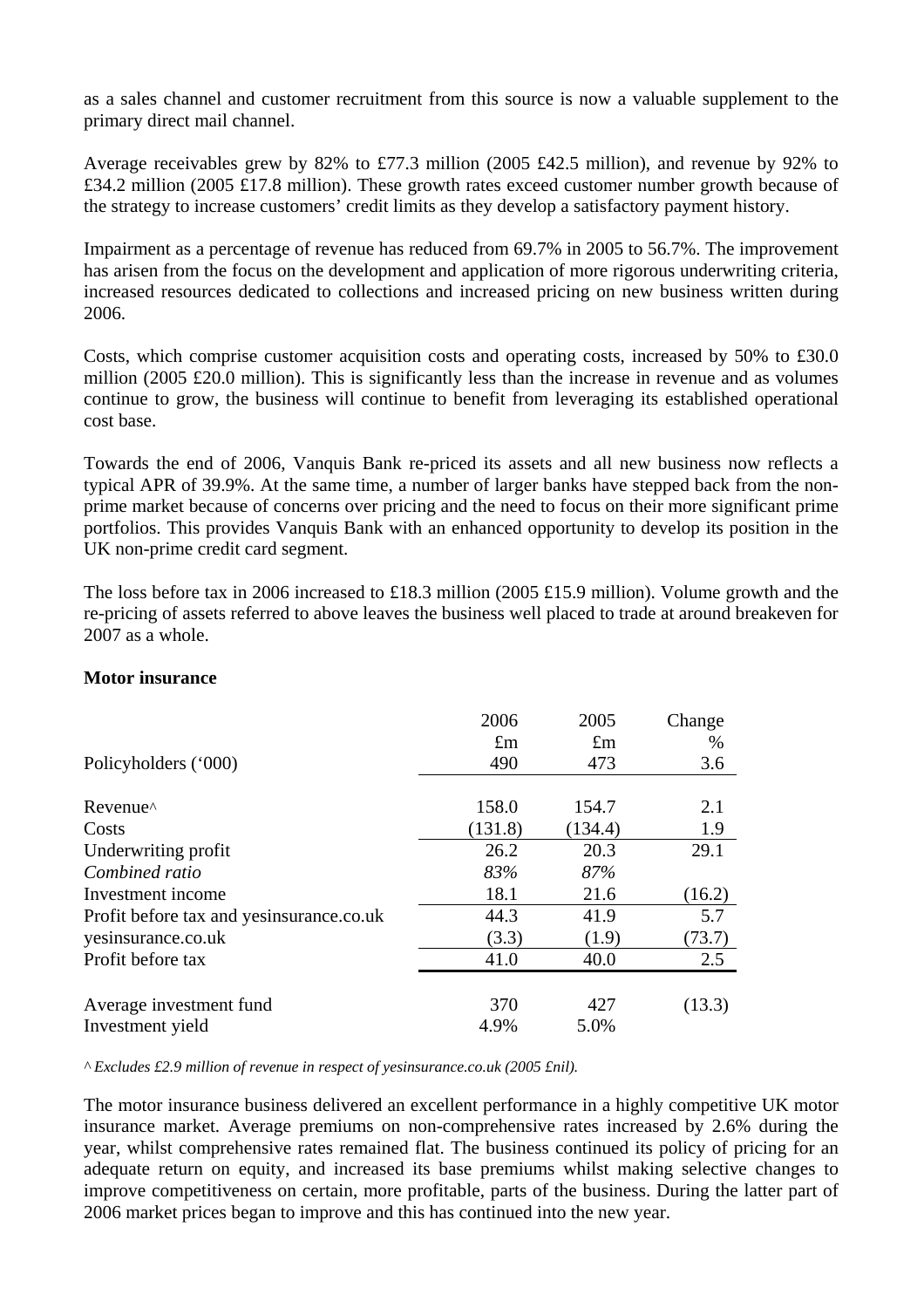as a sales channel and customer recruitment from this source is now a valuable supplement to the primary direct mail channel.

Average receivables grew by 82% to £77.3 million (2005 £42.5 million), and revenue by 92% to £34.2 million (2005 £17.8 million). These growth rates exceed customer number growth because of the strategy to increase customers' credit limits as they develop a satisfactory payment history.

Impairment as a percentage of revenue has reduced from 69.7% in 2005 to 56.7%. The improvement has arisen from the focus on the development and application of more rigorous underwriting criteria, increased resources dedicated to collections and increased pricing on new business written during 2006.

Costs, which comprise customer acquisition costs and operating costs, increased by 50% to £30.0 million (2005 £20.0 million). This is significantly less than the increase in revenue and as volumes continue to grow, the business will continue to benefit from leveraging its established operational cost base.

Towards the end of 2006, Vanquis Bank re-priced its assets and all new business now reflects a typical APR of 39.9%. At the same time, a number of larger banks have stepped back from the nonprime market because of concerns over pricing and the need to focus on their more significant prime portfolios. This provides Vanquis Bank with an enhanced opportunity to develop its position in the UK non-prime credit card segment.

The loss before tax in 2006 increased to £18.3 million (2005 £15.9 million). Volume growth and the re-pricing of assets referred to above leaves the business well placed to trade at around breakeven for 2007 as a whole.

#### **Motor insurance**

| Policyholders ('000)                     | 2006<br>$\pounds$ m<br>490 | 2005<br>$\pounds$ m<br>473 | Change<br>$\%$<br>3.6 |
|------------------------------------------|----------------------------|----------------------------|-----------------------|
| Revenue <sup>^</sup>                     | 158.0                      | 154.7                      | 2.1                   |
| Costs                                    | (131.8)                    | (134.4)                    | 1.9                   |
| Underwriting profit                      | 26.2                       | 20.3                       | 29.1                  |
| Combined ratio                           | 83%                        | 87%                        |                       |
| Investment income                        | 18.1                       | 21.6                       | (16.2)                |
| Profit before tax and yesinsurance.co.uk | 44.3                       | 41.9                       | 5.7                   |
| yesinsurance.co.uk                       | (3.3)                      | (1.9)                      | (73.7)                |
| Profit before tax                        | 41.0                       | 40.0                       | 2.5                   |
| Average investment fund                  | 370                        | 427                        | (13.3)                |
| Investment yield                         | 4.9%                       | 5.0%                       |                       |

*^ Excludes £2.9 million of revenue in respect of yesinsurance.co.uk (2005 £nil).* 

The motor insurance business delivered an excellent performance in a highly competitive UK motor insurance market. Average premiums on non-comprehensive rates increased by 2.6% during the year, whilst comprehensive rates remained flat. The business continued its policy of pricing for an adequate return on equity, and increased its base premiums whilst making selective changes to improve competitiveness on certain, more profitable, parts of the business. During the latter part of 2006 market prices began to improve and this has continued into the new year.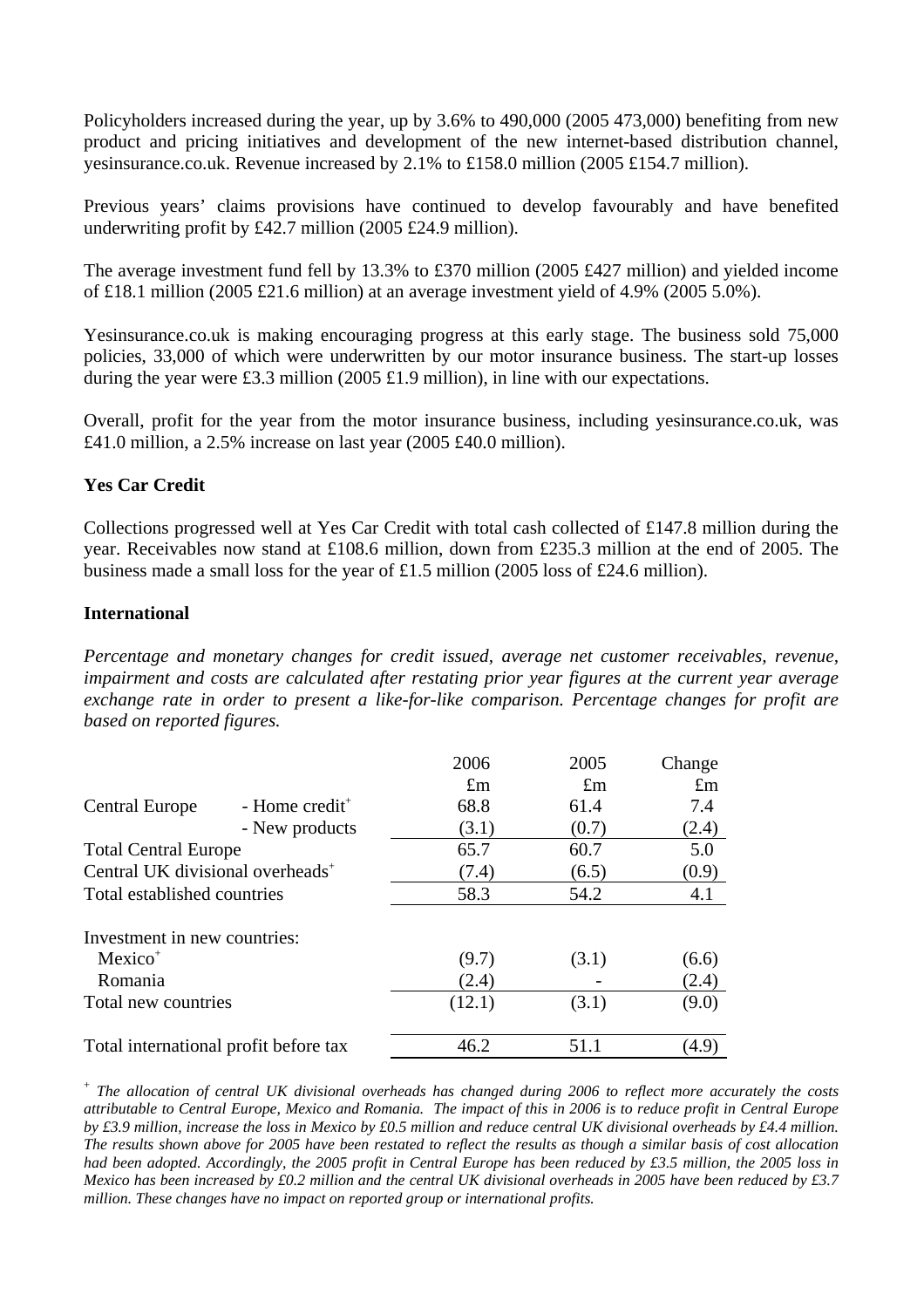Policyholders increased during the year, up by 3.6% to 490,000 (2005 473,000) benefiting from new product and pricing initiatives and development of the new internet-based distribution channel, yesinsurance.co.uk. Revenue increased by 2.1% to £158.0 million (2005 £154.7 million).

Previous years' claims provisions have continued to develop favourably and have benefited underwriting profit by £42.7 million (2005 £24.9 million).

The average investment fund fell by 13.3% to £370 million (2005 £427 million) and yielded income of £18.1 million (2005 £21.6 million) at an average investment yield of 4.9% (2005 5.0%).

Yesinsurance.co.uk is making encouraging progress at this early stage. The business sold 75,000 policies, 33,000 of which were underwritten by our motor insurance business. The start-up losses during the year were £3.3 million (2005 £1.9 million), in line with our expectations.

Overall, profit for the year from the motor insurance business, including yesinsurance.co.uk, was £41.0 million, a 2.5% increase on last year (2005 £40.0 million).

## **Yes Car Credit**

Collections progressed well at Yes Car Credit with total cash collected of £147.8 million during the year. Receivables now stand at £108.6 million, down from £235.3 million at the end of 2005. The business made a small loss for the year of £1.5 million (2005 loss of £24.6 million).

#### **International**

*Percentage and monetary changes for credit issued, average net customer receivables, revenue, impairment and costs are calculated after restating prior year figures at the current year average exchange rate in order to present a like-for-like comparison. Percentage changes for profit are based on reported figures.* 

|                                              |                            | 2006        | 2005        | Change      |
|----------------------------------------------|----------------------------|-------------|-------------|-------------|
|                                              |                            | $\pounds$ m | $\pounds$ m | $\pounds$ m |
| <b>Central Europe</b>                        | - Home credit <sup>+</sup> | 68.8        | 61.4        | 7.4         |
|                                              | - New products             | (3.1)       | (0.7)       | (2.4)       |
| <b>Total Central Europe</b>                  |                            | 65.7        | 60.7        | 5.0         |
| Central UK divisional overheads <sup>+</sup> |                            | (7.4)       | (6.5)       | (0.9)       |
| Total established countries                  |                            | 58.3        | 54.2        | 4.1         |
| Investment in new countries:                 |                            |             |             |             |
| Mexico <sup>+</sup>                          |                            | (9.7)       | (3.1)       | (6.6)       |
| Romania                                      |                            | (2.4)       |             | (2.4)       |
| Total new countries                          |                            | (12.1)      | (3.1)       | (9.0)       |
| Total international profit before tax        |                            | 46.2        | 51.1        | (4.9)       |

+  *The allocation of central UK divisional overheads has changed during 2006 to reflect more accurately the costs attributable to Central Europe, Mexico and Romania. The impact of this in 2006 is to reduce profit in Central Europe by £3.9 million, increase the loss in Mexico by £0.5 million and reduce central UK divisional overheads by £4.4 million. The results shown above for 2005 have been restated to reflect the results as though a similar basis of cost allocation had been adopted. Accordingly, the 2005 profit in Central Europe has been reduced by £3.5 million, the 2005 loss in Mexico has been increased by £0.2 million and the central UK divisional overheads in 2005 have been reduced by £3.7 million. These changes have no impact on reported group or international profits.*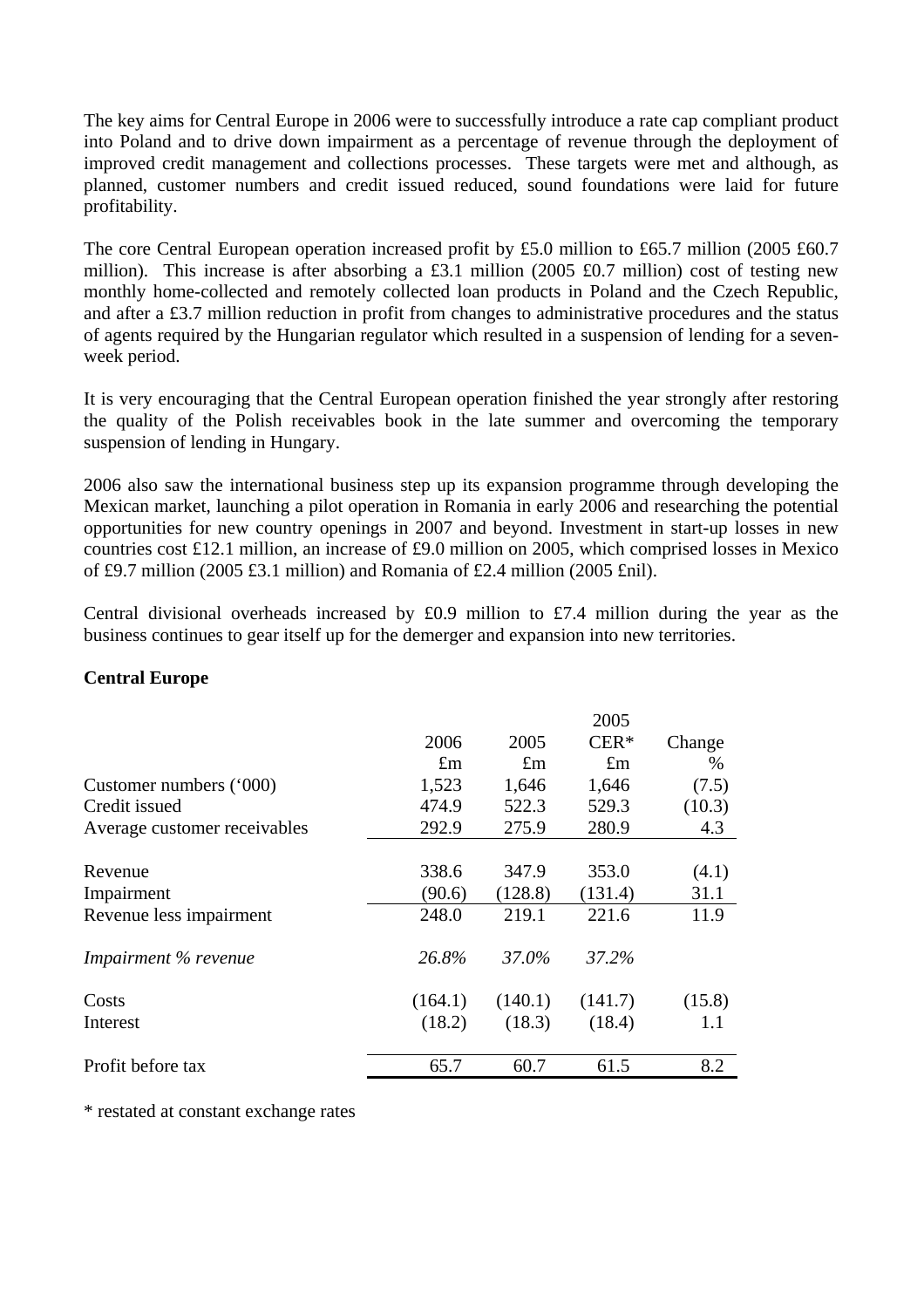The key aims for Central Europe in 2006 were to successfully introduce a rate cap compliant product into Poland and to drive down impairment as a percentage of revenue through the deployment of improved credit management and collections processes. These targets were met and although, as planned, customer numbers and credit issued reduced, sound foundations were laid for future profitability.

The core Central European operation increased profit by £5.0 million to £65.7 million (2005 £60.7 million). This increase is after absorbing a £3.1 million (2005 £0.7 million) cost of testing new monthly home-collected and remotely collected loan products in Poland and the Czech Republic, and after a £3.7 million reduction in profit from changes to administrative procedures and the status of agents required by the Hungarian regulator which resulted in a suspension of lending for a sevenweek period.

It is very encouraging that the Central European operation finished the year strongly after restoring the quality of the Polish receivables book in the late summer and overcoming the temporary suspension of lending in Hungary.

2006 also saw the international business step up its expansion programme through developing the Mexican market, launching a pilot operation in Romania in early 2006 and researching the potential opportunities for new country openings in 2007 and beyond. Investment in start-up losses in new countries cost £12.1 million, an increase of £9.0 million on 2005, which comprised losses in Mexico of £9.7 million (2005 £3.1 million) and Romania of £2.4 million (2005 £nil).

Central divisional overheads increased by £0.9 million to £7.4 million during the year as the business continues to gear itself up for the demerger and expansion into new territories.

|                              |             |             | 2005        |        |
|------------------------------|-------------|-------------|-------------|--------|
|                              | 2006        | 2005        | $CER*$      | Change |
|                              | $\pounds$ m | $\pounds$ m | $\pounds$ m | $\%$   |
| Customer numbers ('000)      | 1,523       | 1,646       | 1,646       | (7.5)  |
| Credit issued                | 474.9       | 522.3       | 529.3       | (10.3) |
| Average customer receivables | 292.9       | 275.9       | 280.9       | 4.3    |
|                              |             |             |             |        |
| Revenue                      | 338.6       | 347.9       | 353.0       | (4.1)  |
| Impairment                   | (90.6)      | (128.8)     | (131.4)     | 31.1   |
| Revenue less impairment      | 248.0       | 219.1       | 221.6       | 11.9   |
| Impairment % revenue         | 26.8%       | 37.0%       | 37.2%       |        |
| Costs                        | (164.1)     | (140.1)     | (141.7)     | (15.8) |
| Interest                     | (18.2)      | (18.3)      | (18.4)      | 1.1    |
| Profit before tax            | 65.7        | 60.7        | 61.5        | 8.2    |

## **Central Europe**

\* restated at constant exchange rates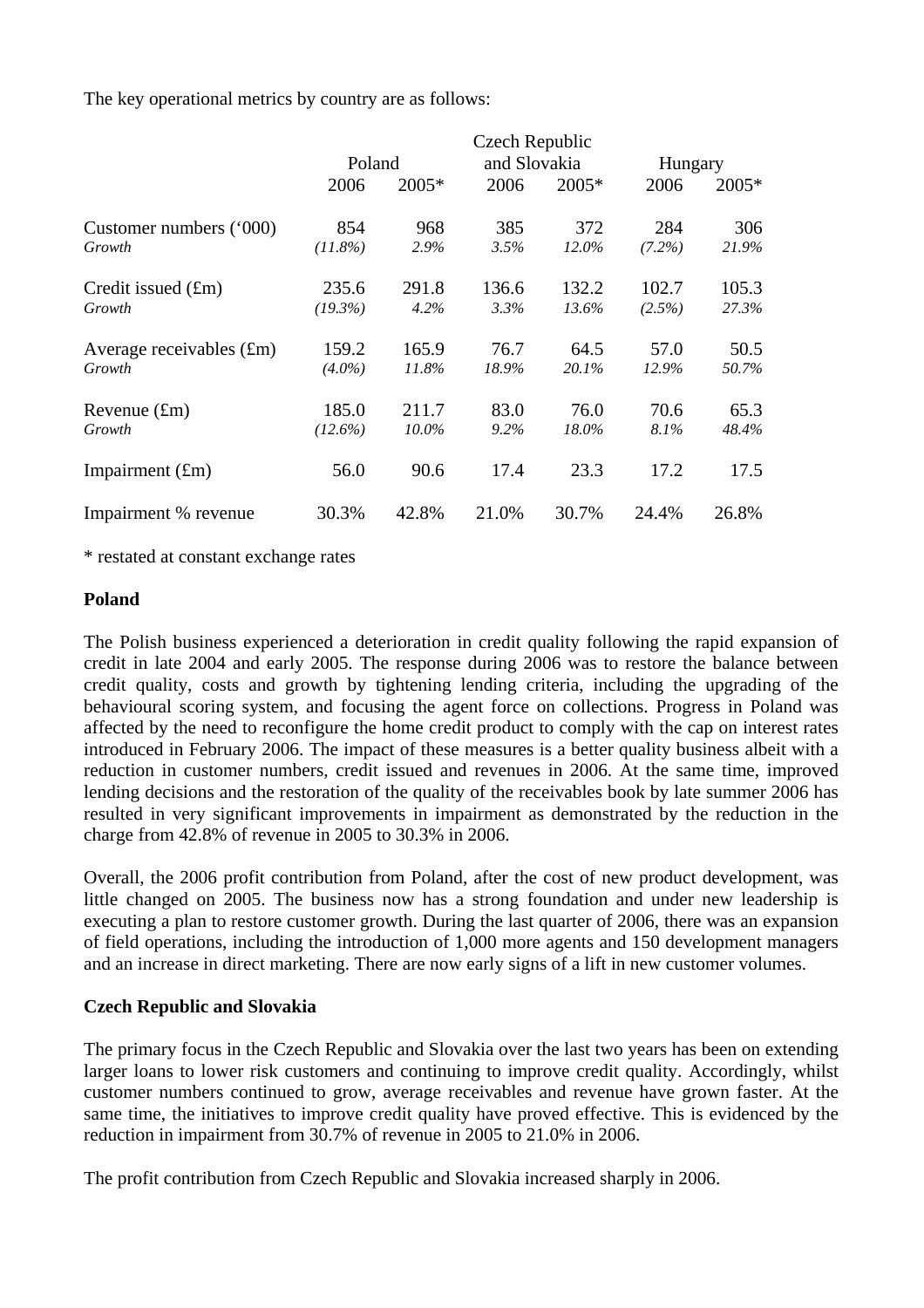The key operational metrics by country are as follows:

|                            | Czech Republic |         |              |         |           |       |
|----------------------------|----------------|---------|--------------|---------|-----------|-------|
|                            | Poland         |         | and Slovakia |         | Hungary   |       |
|                            | 2006           | $2005*$ | 2006         | $2005*$ | 2006      | 2005* |
| Customer numbers ('000)    | 854            | 968     | 385          | 372     | 284       | 306   |
| Growth                     | $(11.8\%)$     | 2.9%    | 3.5%         | 12.0%   | $(7.2\%)$ | 21.9% |
| Credit issued (£m)         | 235.6          | 291.8   | 136.6        | 132.2   | 102.7     | 105.3 |
| Growth                     | (19.3%)        | 4.2%    | 3.3%         | 13.6%   | (2.5%)    | 27.3% |
| Average receivables $(fm)$ | 159.2          | 165.9   | 76.7         | 64.5    | 57.0      | 50.5  |
| Growth                     | $(4.0\%)$      | 11.8%   | 18.9%        | 20.1%   | 12.9%     | 50.7% |
| Revenue $(fm)$             | 185.0          | 211.7   | 83.0         | 76.0    | 70.6      | 65.3  |
| Growth                     | $(12.6\%)$     | 10.0%   | 9.2%         | 18.0%   | 8.1%      | 48.4% |
| Impairment $(fm)$          | 56.0           | 90.6    | 17.4         | 23.3    | 17.2      | 17.5  |
| Impairment % revenue       | 30.3%          | 42.8%   | 21.0%        | 30.7%   | 24.4%     | 26.8% |

\* restated at constant exchange rates

## **Poland**

The Polish business experienced a deterioration in credit quality following the rapid expansion of credit in late 2004 and early 2005. The response during 2006 was to restore the balance between credit quality, costs and growth by tightening lending criteria, including the upgrading of the behavioural scoring system, and focusing the agent force on collections. Progress in Poland was affected by the need to reconfigure the home credit product to comply with the cap on interest rates introduced in February 2006. The impact of these measures is a better quality business albeit with a reduction in customer numbers, credit issued and revenues in 2006. At the same time, improved lending decisions and the restoration of the quality of the receivables book by late summer 2006 has resulted in very significant improvements in impairment as demonstrated by the reduction in the charge from 42.8% of revenue in 2005 to 30.3% in 2006.

Overall, the 2006 profit contribution from Poland, after the cost of new product development, was little changed on 2005. The business now has a strong foundation and under new leadership is executing a plan to restore customer growth. During the last quarter of 2006, there was an expansion of field operations, including the introduction of 1,000 more agents and 150 development managers and an increase in direct marketing. There are now early signs of a lift in new customer volumes.

## **Czech Republic and Slovakia**

The primary focus in the Czech Republic and Slovakia over the last two years has been on extending larger loans to lower risk customers and continuing to improve credit quality. Accordingly, whilst customer numbers continued to grow, average receivables and revenue have grown faster. At the same time, the initiatives to improve credit quality have proved effective. This is evidenced by the reduction in impairment from 30.7% of revenue in 2005 to 21.0% in 2006.

The profit contribution from Czech Republic and Slovakia increased sharply in 2006.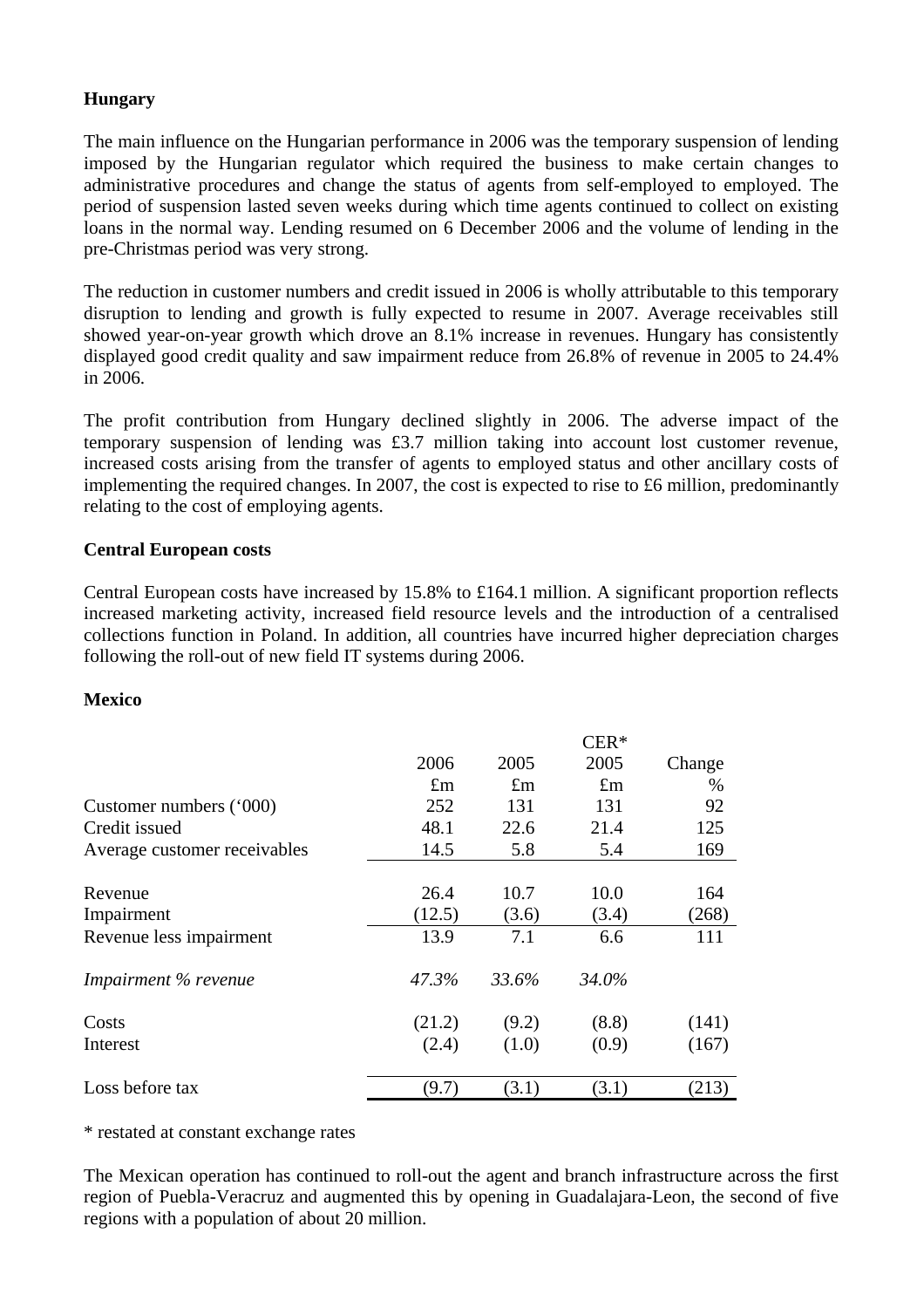## **Hungary**

The main influence on the Hungarian performance in 2006 was the temporary suspension of lending imposed by the Hungarian regulator which required the business to make certain changes to administrative procedures and change the status of agents from self-employed to employed. The period of suspension lasted seven weeks during which time agents continued to collect on existing loans in the normal way. Lending resumed on 6 December 2006 and the volume of lending in the pre-Christmas period was very strong.

The reduction in customer numbers and credit issued in 2006 is wholly attributable to this temporary disruption to lending and growth is fully expected to resume in 2007. Average receivables still showed year-on-year growth which drove an 8.1% increase in revenues. Hungary has consistently displayed good credit quality and saw impairment reduce from 26.8% of revenue in 2005 to 24.4% in 2006.

The profit contribution from Hungary declined slightly in 2006. The adverse impact of the temporary suspension of lending was £3.7 million taking into account lost customer revenue, increased costs arising from the transfer of agents to employed status and other ancillary costs of implementing the required changes. In 2007, the cost is expected to rise to £6 million, predominantly relating to the cost of employing agents.

#### **Central European costs**

Central European costs have increased by 15.8% to £164.1 million. A significant proportion reflects increased marketing activity, increased field resource levels and the introduction of a centralised collections function in Poland. In addition, all countries have incurred higher depreciation charges following the roll-out of new field IT systems during 2006.

#### **Mexico**

|                              |             |             | $CER*$      |        |
|------------------------------|-------------|-------------|-------------|--------|
|                              | 2006        | 2005        | 2005        | Change |
|                              | $\pounds$ m | $\pounds$ m | $\pounds$ m | $\%$   |
| Customer numbers ('000)      | 252         | 131         | 131         | 92     |
| Credit issued                | 48.1        | 22.6        | 21.4        | 125    |
| Average customer receivables | 14.5        | 5.8         | 5.4         | 169    |
|                              |             |             |             |        |
| Revenue                      | 26.4        | 10.7        | 10.0        | 164    |
| Impairment                   | (12.5)      | (3.6)       | (3.4)       | (268)  |
| Revenue less impairment      | 13.9        | 7.1         | 6.6         | 111    |
| Impairment % revenue         | 47.3%       | 33.6%       | 34.0%       |        |
| Costs                        | (21.2)      | (9.2)       | (8.8)       | (141)  |
| Interest                     | (2.4)       | (1.0)       | (0.9)       | (167)  |
| Loss before tax              | (9.7)       | (3.1)       | (3.1)       | (213)  |

\* restated at constant exchange rates

The Mexican operation has continued to roll-out the agent and branch infrastructure across the first region of Puebla-Veracruz and augmented this by opening in Guadalajara-Leon, the second of five regions with a population of about 20 million.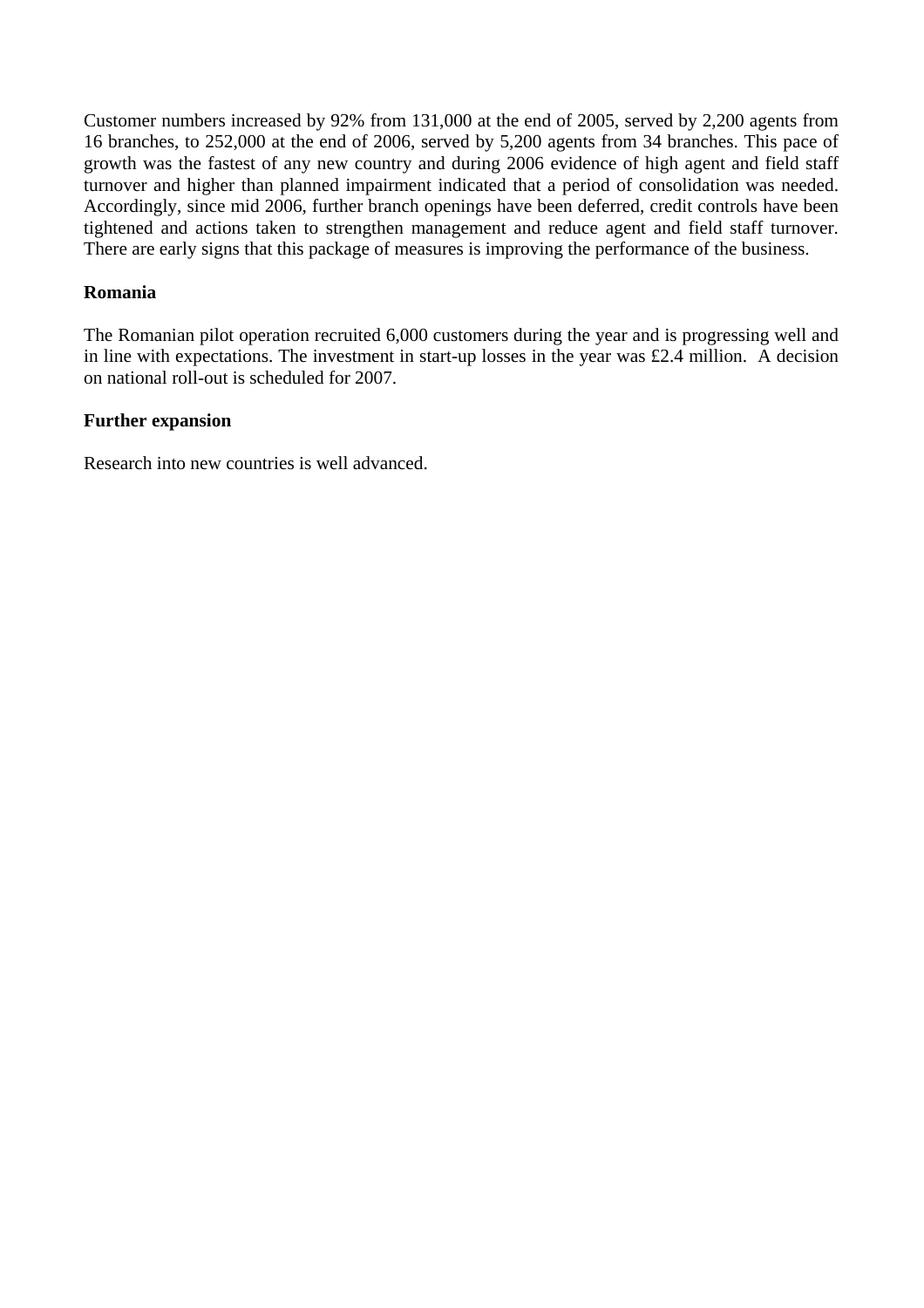Customer numbers increased by 92% from 131,000 at the end of 2005, served by 2,200 agents from 16 branches, to 252,000 at the end of 2006, served by 5,200 agents from 34 branches. This pace of growth was the fastest of any new country and during 2006 evidence of high agent and field staff turnover and higher than planned impairment indicated that a period of consolidation was needed. Accordingly, since mid 2006, further branch openings have been deferred, credit controls have been tightened and actions taken to strengthen management and reduce agent and field staff turnover. There are early signs that this package of measures is improving the performance of the business.

## **Romania**

The Romanian pilot operation recruited 6,000 customers during the year and is progressing well and in line with expectations. The investment in start-up losses in the year was £2.4 million. A decision on national roll-out is scheduled for 2007.

#### **Further expansion**

Research into new countries is well advanced.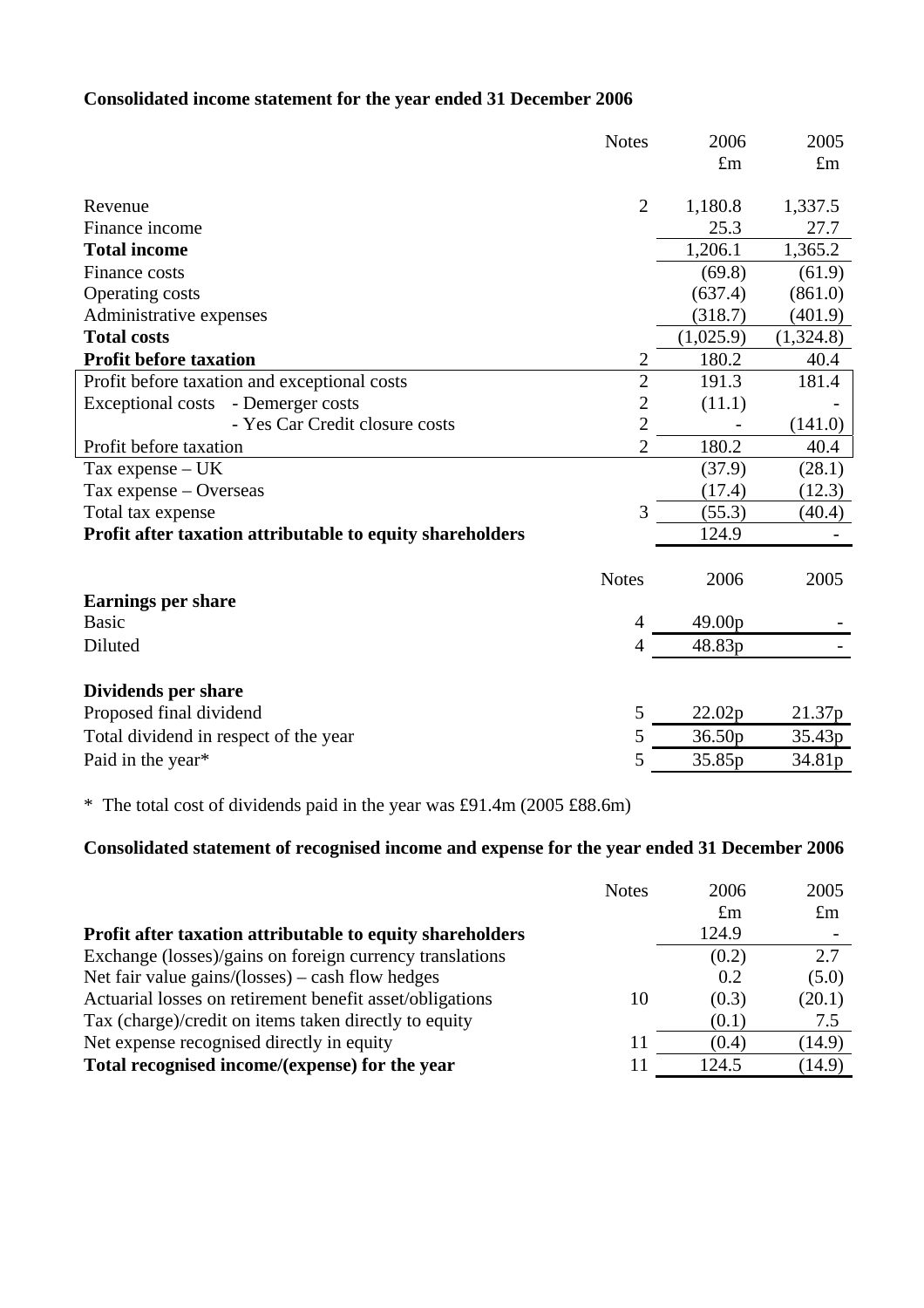## **Consolidated income statement for the year ended 31 December 2006**

|                                                           | <b>Notes</b>   | 2006        | 2005        |
|-----------------------------------------------------------|----------------|-------------|-------------|
|                                                           |                | $\pounds$ m | $\pounds m$ |
|                                                           |                |             |             |
| Revenue                                                   | $\overline{2}$ | 1,180.8     | 1,337.5     |
| Finance income                                            |                | 25.3        | 27.7        |
| <b>Total income</b>                                       |                | 1,206.1     | 1,365.2     |
| Finance costs                                             |                | (69.8)      | (61.9)      |
| Operating costs                                           |                | (637.4)     | (861.0)     |
| Administrative expenses                                   |                | (318.7)     | (401.9)     |
| <b>Total costs</b>                                        |                | (1,025.9)   | (1,324.8)   |
| <b>Profit before taxation</b>                             | $\mathfrak{2}$ | 180.2       | 40.4        |
| Profit before taxation and exceptional costs              | $\overline{2}$ | 191.3       | 181.4       |
| <b>Exceptional costs</b><br>- Demerger costs              | $\overline{2}$ | (11.1)      |             |
| - Yes Car Credit closure costs                            | $\overline{2}$ |             | (141.0)     |
| Profit before taxation                                    | $\overline{2}$ | 180.2       | 40.4        |
| Tax expense $- UK$                                        |                | (37.9)      | (28.1)      |
| Tax expense - Overseas                                    |                | (17.4)      | (12.3)      |
| Total tax expense                                         | 3              | (55.3)      | (40.4)      |
| Profit after taxation attributable to equity shareholders |                | 124.9       |             |
|                                                           | <b>Notes</b>   | 2006        |             |
|                                                           |                |             | 2005        |
| <b>Earnings per share</b>                                 |                |             |             |
| <b>Basic</b>                                              | $\overline{4}$ | 49.00p      |             |
| Diluted                                                   | 4              | 48.83p      |             |
| Dividends per share                                       |                |             |             |
| Proposed final dividend                                   | 5              | 22.02p      | 21.37p      |
| Total dividend in respect of the year                     | 5              | 36.50p      | 35.43p      |
| Paid in the year*                                         | 5              | 35.85p      | 34.81p      |
|                                                           |                |             |             |

\* The total cost of dividends paid in the year was £91.4m (2005 £88.6m)

## **Consolidated statement of recognised income and expense for the year ended 31 December 2006**

|                                                           | <b>Notes</b> | 2006        | 2005        |
|-----------------------------------------------------------|--------------|-------------|-------------|
|                                                           |              | $\pounds$ m | $\pounds$ m |
| Profit after taxation attributable to equity shareholders |              | 124.9       |             |
| Exchange (losses)/gains on foreign currency translations  |              | (0.2)       | 2.7         |
| Net fair value gains/(losses) – cash flow hedges          |              | 0.2         | (5.0)       |
| Actuarial losses on retirement benefit asset/obligations  | 10           | (0.3)       | (20.1)      |
| Tax (charge)/credit on items taken directly to equity     |              | (0.1)       | 7.5         |
| Net expense recognised directly in equity                 | 11           | (0.4)       | (14.9)      |
| Total recognised income/(expense) for the year            |              | 124.5       | (14.9)      |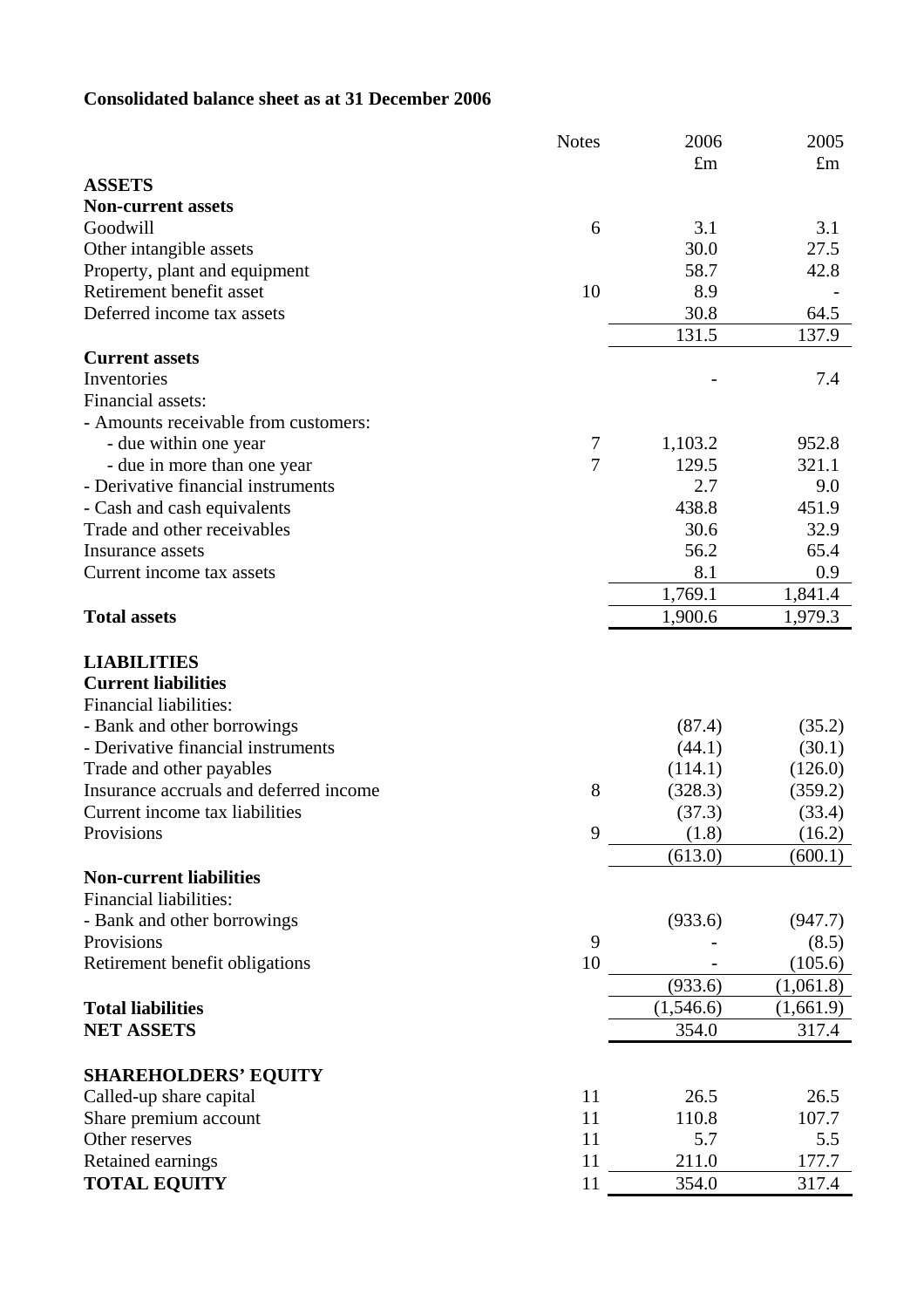## **Consolidated balance sheet as at 31 December 2006**

|                                        | <b>Notes</b>   | 2006        | 2005        |
|----------------------------------------|----------------|-------------|-------------|
|                                        |                | $\pounds$ m | $\pounds$ m |
| <b>ASSETS</b>                          |                |             |             |
| <b>Non-current assets</b>              |                |             |             |
| Goodwill                               | 6              | 3.1         | 3.1         |
| Other intangible assets                |                | 30.0        | 27.5        |
| Property, plant and equipment          |                | 58.7        | 42.8        |
| Retirement benefit asset               | 10             | 8.9         |             |
| Deferred income tax assets             |                | 30.8        | 64.5        |
|                                        |                | 131.5       | 137.9       |
| <b>Current assets</b>                  |                |             |             |
| Inventories                            |                |             | 7.4         |
| Financial assets:                      |                |             |             |
| - Amounts receivable from customers:   |                |             |             |
| - due within one year                  | 7              | 1,103.2     | 952.8       |
| - due in more than one year            | $\overline{7}$ | 129.5       | 321.1       |
| - Derivative financial instruments     |                | 2.7         | 9.0         |
| - Cash and cash equivalents            |                | 438.8       | 451.9       |
| Trade and other receivables            |                | 30.6        | 32.9        |
| Insurance assets                       |                | 56.2        | 65.4        |
| Current income tax assets              |                | 8.1         | 0.9         |
|                                        |                | 1,769.1     | 1,841.4     |
| <b>Total assets</b>                    |                | 1,900.6     | 1,979.3     |
| <b>LIABILITIES</b>                     |                |             |             |
| <b>Current liabilities</b>             |                |             |             |
| Financial liabilities:                 |                |             |             |
| - Bank and other borrowings            |                | (87.4)      | (35.2)      |
| - Derivative financial instruments     |                | (44.1)      | (30.1)      |
| Trade and other payables               |                | (114.1)     | (126.0)     |
| Insurance accruals and deferred income | 8              | (328.3)     | (359.2)     |
| Current income tax liabilities         |                | (37.3)      | (33.4)      |
| Provisions                             | 9              | (1.8)       | (16.2)      |
|                                        |                | (613.0)     | (600.1)     |
| <b>Non-current liabilities</b>         |                |             |             |
| <b>Financial liabilities:</b>          |                |             |             |
| - Bank and other borrowings            |                | (933.6)     | (947.7)     |
| Provisions                             | 9              |             | (8.5)       |
| Retirement benefit obligations         | 10             |             | (105.6)     |
|                                        |                | (933.6)     | (1,061.8)   |
| <b>Total liabilities</b>               |                | (1,546.6)   | (1,661.9)   |
| <b>NET ASSETS</b>                      |                | 354.0       | 317.4       |
|                                        |                |             |             |
| <b>SHAREHOLDERS' EQUITY</b>            |                |             |             |
| Called-up share capital                | 11             | 26.5        | 26.5        |
| Share premium account                  | 11             | 110.8       | 107.7       |
| Other reserves                         | 11             | 5.7         | 5.5         |
| Retained earnings                      | 11             | 211.0       | 177.7       |
| <b>TOTAL EQUITY</b>                    | 11             | 354.0       | 317.4       |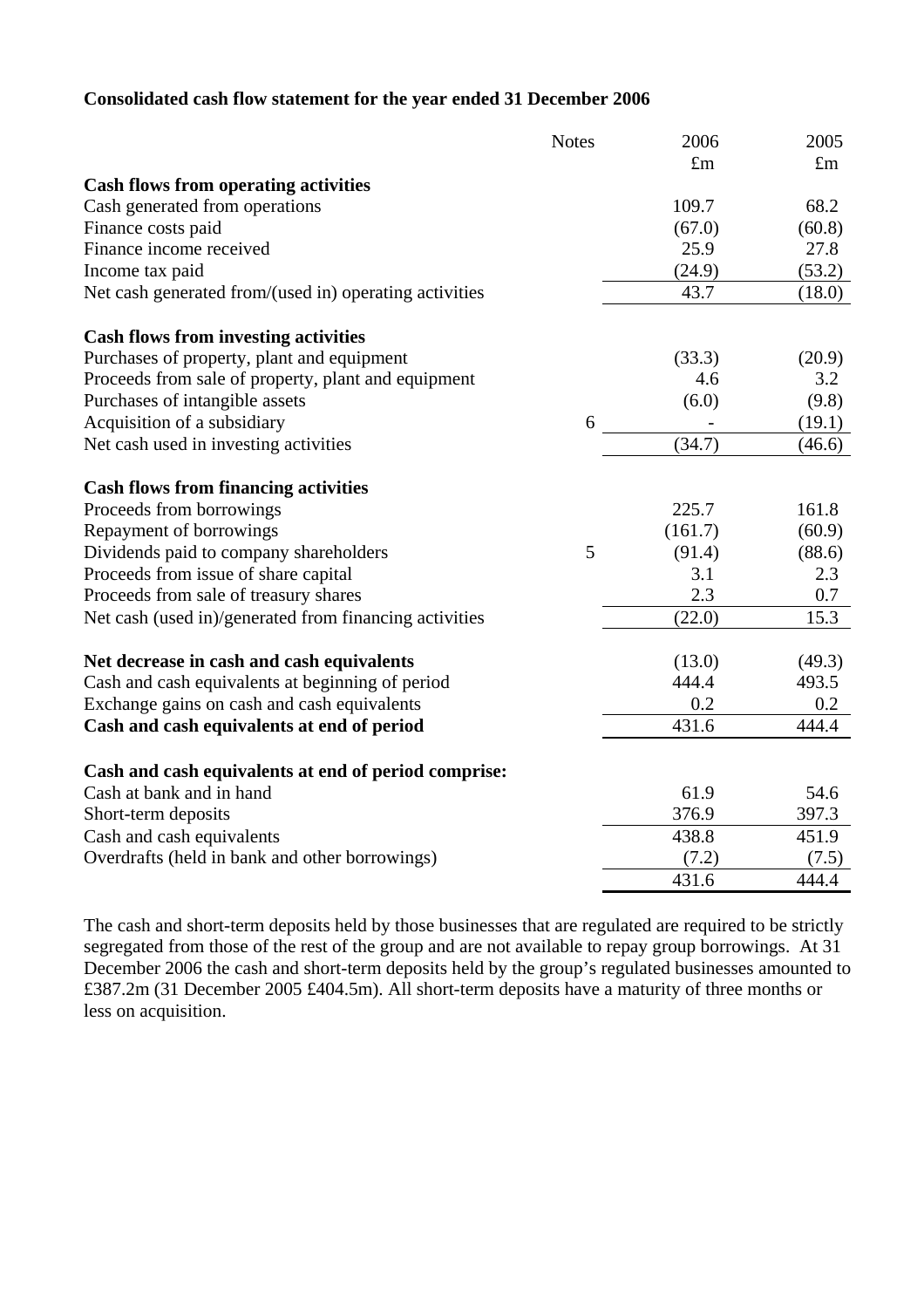## **Consolidated cash flow statement for the year ended 31 December 2006**

|                                                        | <b>Notes</b> | 2006        | 2005        |
|--------------------------------------------------------|--------------|-------------|-------------|
|                                                        |              | $\pounds$ m | $\pounds$ m |
| <b>Cash flows from operating activities</b>            |              |             |             |
| Cash generated from operations                         |              | 109.7       | 68.2        |
| Finance costs paid                                     |              | (67.0)      | (60.8)      |
| Finance income received                                |              | 25.9        | 27.8        |
| Income tax paid                                        |              | (24.9)      | (53.2)      |
| Net cash generated from/(used in) operating activities |              | 43.7        | (18.0)      |
| <b>Cash flows from investing activities</b>            |              |             |             |
| Purchases of property, plant and equipment             |              | (33.3)      | (20.9)      |
| Proceeds from sale of property, plant and equipment    |              | 4.6         | 3.2         |
| Purchases of intangible assets                         |              | (6.0)       | (9.8)       |
| Acquisition of a subsidiary                            | 6            |             | (19.1)      |
| Net cash used in investing activities                  |              | (34.7)      | (46.6)      |
| <b>Cash flows from financing activities</b>            |              |             |             |
| Proceeds from borrowings                               |              | 225.7       | 161.8       |
| Repayment of borrowings                                |              | (161.7)     | (60.9)      |
| Dividends paid to company shareholders                 | 5            | (91.4)      | (88.6)      |
| Proceeds from issue of share capital                   |              | 3.1         | 2.3         |
| Proceeds from sale of treasury shares                  |              | 2.3         | 0.7         |
| Net cash (used in)/generated from financing activities |              | (22.0)      | 15.3        |
| Net decrease in cash and cash equivalents              |              | (13.0)      | (49.3)      |
| Cash and cash equivalents at beginning of period       |              | 444.4       | 493.5       |
| Exchange gains on cash and cash equivalents            |              | 0.2         | 0.2         |
| Cash and cash equivalents at end of period             |              | 431.6       | 444.4       |
| Cash and cash equivalents at end of period comprise:   |              |             |             |
| Cash at bank and in hand                               |              | 61.9        | 54.6        |
| Short-term deposits                                    |              | 376.9       | 397.3       |
| Cash and cash equivalents                              |              | 438.8       | 451.9       |
| Overdrafts (held in bank and other borrowings)         |              | (7.2)       | (7.5)       |
|                                                        |              | 431.6       | 444.4       |

The cash and short-term deposits held by those businesses that are regulated are required to be strictly segregated from those of the rest of the group and are not available to repay group borrowings. At 31 December 2006 the cash and short-term deposits held by the group's regulated businesses amounted to £387.2m (31 December 2005 £404.5m). All short-term deposits have a maturity of three months or less on acquisition.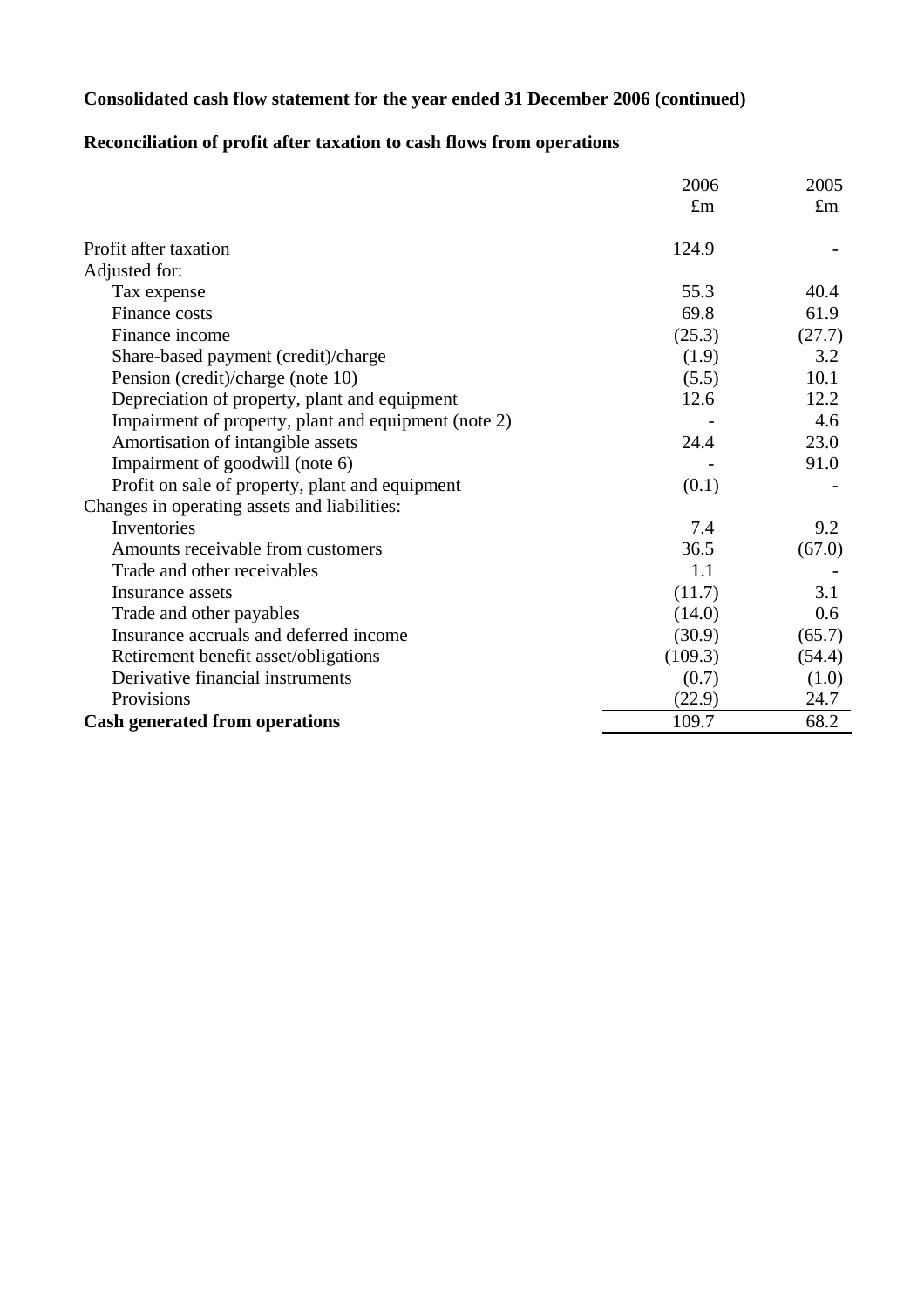## **Consolidated cash flow statement for the year ended 31 December 2006 (continued)**

## **Reconciliation of profit after taxation to cash flows from operations**

|                                                      | 2006        | 2005        |
|------------------------------------------------------|-------------|-------------|
|                                                      | $\pounds$ m | $\pounds$ m |
| Profit after taxation                                | 124.9       |             |
| Adjusted for:                                        |             |             |
| Tax expense                                          | 55.3        | 40.4        |
| <b>Finance costs</b>                                 | 69.8        | 61.9        |
| Finance income                                       | (25.3)      | (27.7)      |
| Share-based payment (credit)/charge                  | (1.9)       | 3.2         |
| Pension (credit)/charge (note 10)                    | (5.5)       | 10.1        |
| Depreciation of property, plant and equipment        | 12.6        | 12.2        |
| Impairment of property, plant and equipment (note 2) |             | 4.6         |
| Amortisation of intangible assets                    | 24.4        | 23.0        |
| Impairment of goodwill (note 6)                      |             | 91.0        |
| Profit on sale of property, plant and equipment      | (0.1)       |             |
| Changes in operating assets and liabilities:         |             |             |
| Inventories                                          | 7.4         | 9.2         |
| Amounts receivable from customers                    | 36.5        | (67.0)      |
| Trade and other receivables                          | 1.1         |             |
| Insurance assets                                     | (11.7)      | 3.1         |
| Trade and other payables                             | (14.0)      | 0.6         |
| Insurance accruals and deferred income               | (30.9)      | (65.7)      |
| Retirement benefit asset/obligations                 | (109.3)     | (54.4)      |
| Derivative financial instruments                     | (0.7)       | (1.0)       |
| Provisions                                           | (22.9)      | 24.7        |
| <b>Cash generated from operations</b>                | 109.7       | 68.2        |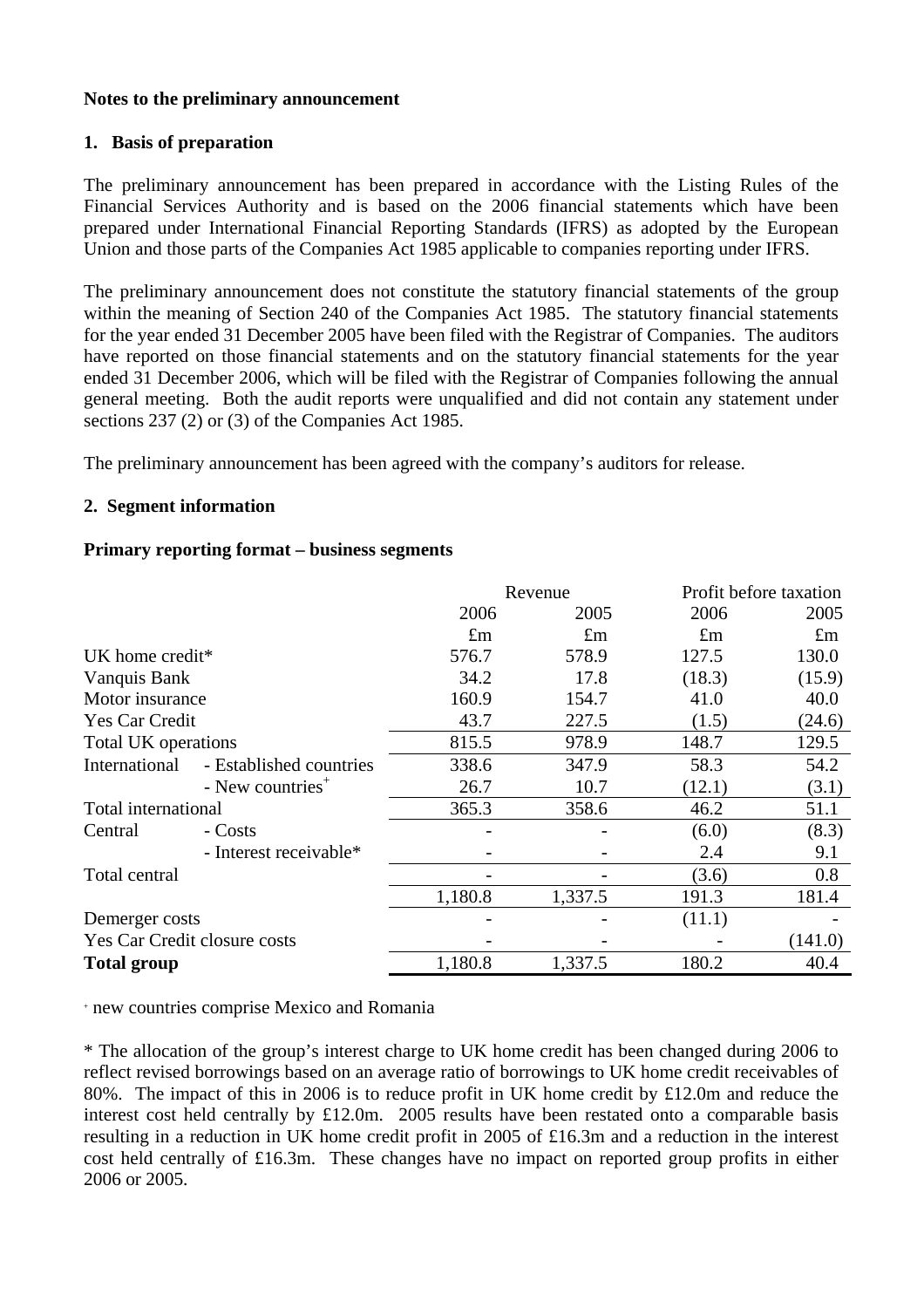#### **Notes to the preliminary announcement**

#### **1. Basis of preparation**

The preliminary announcement has been prepared in accordance with the Listing Rules of the Financial Services Authority and is based on the 2006 financial statements which have been prepared under International Financial Reporting Standards (IFRS) as adopted by the European Union and those parts of the Companies Act 1985 applicable to companies reporting under IFRS.

The preliminary announcement does not constitute the statutory financial statements of the group within the meaning of Section 240 of the Companies Act 1985. The statutory financial statements for the year ended 31 December 2005 have been filed with the Registrar of Companies. The auditors have reported on those financial statements and on the statutory financial statements for the year ended 31 December 2006, which will be filed with the Registrar of Companies following the annual general meeting. Both the audit reports were unqualified and did not contain any statement under sections 237 (2) or (3) of the Companies Act 1985.

The preliminary announcement has been agreed with the company's auditors for release.

#### **2. Segment information**

#### **Primary reporting format – business segments**

|                                          | Revenue     |             |             | Profit before taxation |  |
|------------------------------------------|-------------|-------------|-------------|------------------------|--|
|                                          | 2006        | 2005        | 2006        | 2005                   |  |
|                                          | $\pounds$ m | $\pounds$ m | $\pounds$ m | $\pounds$ m            |  |
| UK home credit*                          | 576.7       | 578.9       | 127.5       | 130.0                  |  |
| Vanquis Bank                             | 34.2        | 17.8        | (18.3)      | (15.9)                 |  |
| Motor insurance                          | 160.9       | 154.7       | 41.0        | 40.0                   |  |
| <b>Yes Car Credit</b>                    | 43.7        | 227.5       | (1.5)       | (24.6)                 |  |
| Total UK operations                      | 815.5       | 978.9       | 148.7       | 129.5                  |  |
| International<br>- Established countries | 338.6       | 347.9       | 58.3        | 54.2                   |  |
| - New countries <sup>+</sup>             | 26.7        | 10.7        | (12.1)      | (3.1)                  |  |
| Total international                      | 365.3       | 358.6       | 46.2        | 51.1                   |  |
| - Costs<br>Central                       |             |             | (6.0)       | (8.3)                  |  |
| - Interest receivable*                   |             |             | 2.4         | 9.1                    |  |
| Total central                            |             |             | (3.6)       | 0.8                    |  |
|                                          | 1,180.8     | 1,337.5     | 191.3       | 181.4                  |  |
| Demerger costs                           |             |             | (11.1)      |                        |  |
| Yes Car Credit closure costs             |             |             |             | (141.0)                |  |
| <b>Total group</b>                       | 1,180.8     | 1,337.5     | 180.2       | 40.4                   |  |

+ new countries comprise Mexico and Romania

\* The allocation of the group's interest charge to UK home credit has been changed during 2006 to reflect revised borrowings based on an average ratio of borrowings to UK home credit receivables of 80%. The impact of this in 2006 is to reduce profit in UK home credit by £12.0m and reduce the interest cost held centrally by £12.0m. 2005 results have been restated onto a comparable basis resulting in a reduction in UK home credit profit in 2005 of £16.3m and a reduction in the interest cost held centrally of £16.3m. These changes have no impact on reported group profits in either 2006 or 2005.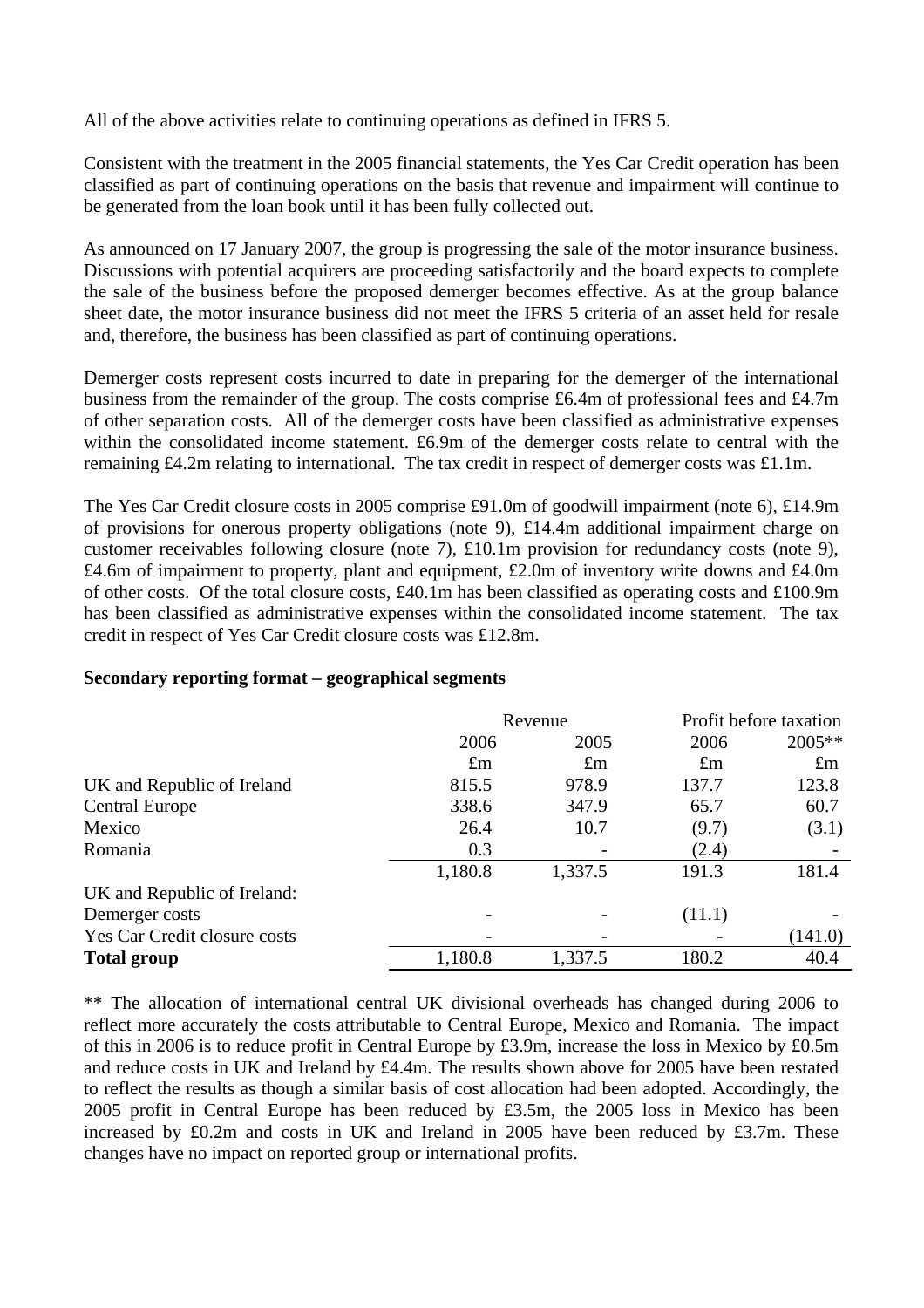All of the above activities relate to continuing operations as defined in IFRS 5.

Consistent with the treatment in the 2005 financial statements, the Yes Car Credit operation has been classified as part of continuing operations on the basis that revenue and impairment will continue to be generated from the loan book until it has been fully collected out.

As announced on 17 January 2007, the group is progressing the sale of the motor insurance business. Discussions with potential acquirers are proceeding satisfactorily and the board expects to complete the sale of the business before the proposed demerger becomes effective. As at the group balance sheet date, the motor insurance business did not meet the IFRS 5 criteria of an asset held for resale and, therefore, the business has been classified as part of continuing operations.

Demerger costs represent costs incurred to date in preparing for the demerger of the international business from the remainder of the group. The costs comprise £6.4m of professional fees and £4.7m of other separation costs. All of the demerger costs have been classified as administrative expenses within the consolidated income statement. £6.9m of the demerger costs relate to central with the remaining £4.2m relating to international. The tax credit in respect of demerger costs was £1.1m.

The Yes Car Credit closure costs in 2005 comprise £91.0m of goodwill impairment (note 6), £14.9m of provisions for onerous property obligations (note 9), £14.4m additional impairment charge on customer receivables following closure (note 7), £10.1m provision for redundancy costs (note 9), £4.6m of impairment to property, plant and equipment, £2.0m of inventory write downs and £4.0m of other costs. Of the total closure costs, £40.1m has been classified as operating costs and £100.9m has been classified as administrative expenses within the consolidated income statement. The tax credit in respect of Yes Car Credit closure costs was £12.8m.

|                              |             | Revenue     | Profit before taxation |             |  |
|------------------------------|-------------|-------------|------------------------|-------------|--|
|                              | 2006        | 2005        | 2006                   | $2005**$    |  |
|                              | $\pounds$ m | $\pounds$ m | $\pounds$ m            | $\pounds$ m |  |
| UK and Republic of Ireland   | 815.5       | 978.9       | 137.7                  | 123.8       |  |
| <b>Central Europe</b>        | 338.6       | 347.9       | 65.7                   | 60.7        |  |
| Mexico                       | 26.4        | 10.7        | (9.7)                  | (3.1)       |  |
| Romania                      | 0.3         |             | (2.4)                  |             |  |
|                              | 1,180.8     | 1,337.5     | 191.3                  | 181.4       |  |
| UK and Republic of Ireland:  |             |             |                        |             |  |
| Demerger costs               |             |             | (11.1)                 |             |  |
| Yes Car Credit closure costs |             |             |                        | (141.0)     |  |
| <b>Total group</b>           | 1,180.8     | 1,337.5     | 180.2                  | 40.4        |  |

#### **Secondary reporting format – geographical segments**

\*\* The allocation of international central UK divisional overheads has changed during 2006 to reflect more accurately the costs attributable to Central Europe, Mexico and Romania. The impact of this in 2006 is to reduce profit in Central Europe by £3.9m, increase the loss in Mexico by £0.5m and reduce costs in UK and Ireland by £4.4m. The results shown above for 2005 have been restated to reflect the results as though a similar basis of cost allocation had been adopted. Accordingly, the 2005 profit in Central Europe has been reduced by £3.5m, the 2005 loss in Mexico has been increased by £0.2m and costs in UK and Ireland in 2005 have been reduced by £3.7m. These changes have no impact on reported group or international profits.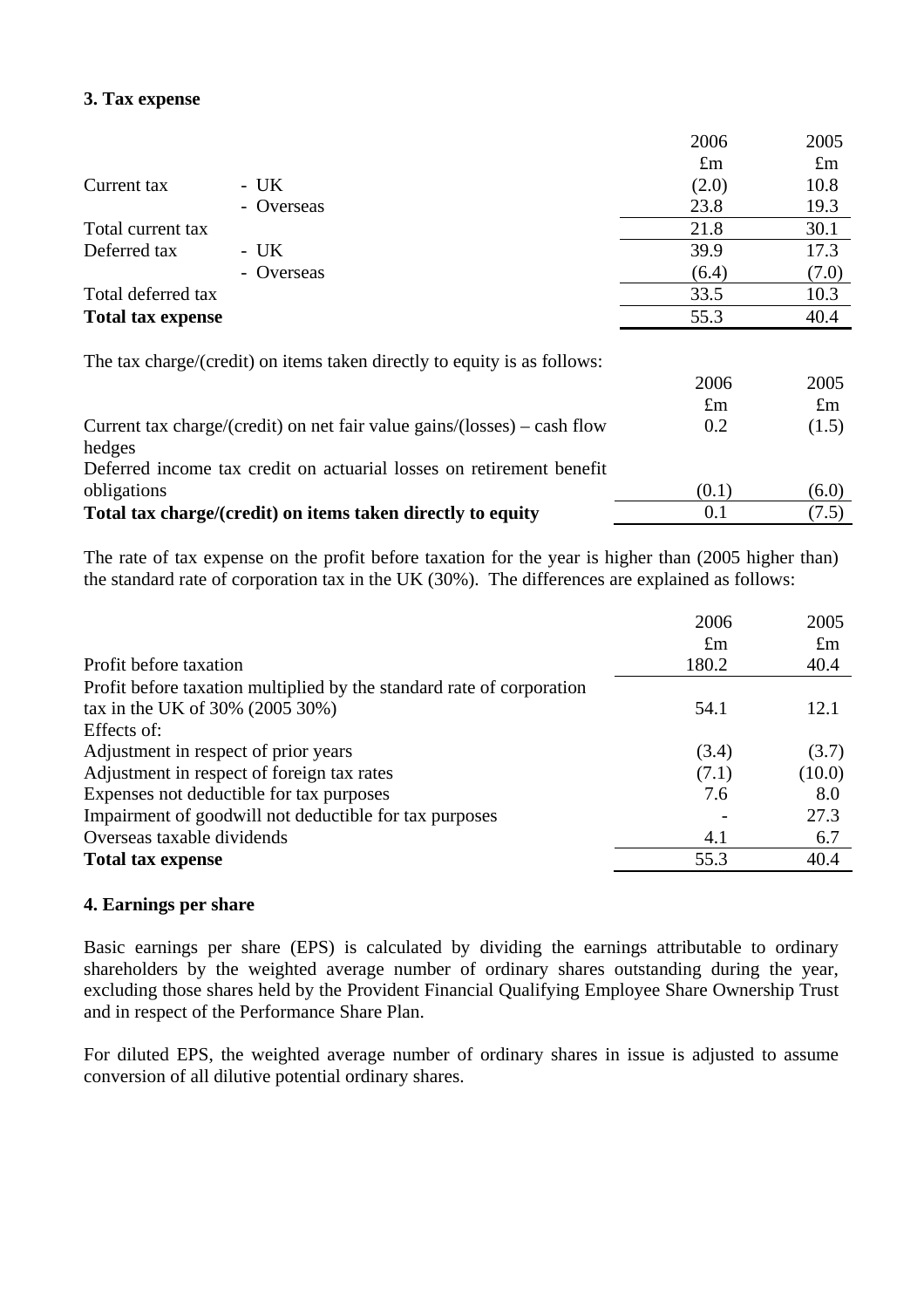## **3. Tax expense**

|                          | 2006        | 2005        |
|--------------------------|-------------|-------------|
|                          | $\pounds$ m | $\pounds$ m |
| $- UK$<br>Current tax    | (2.0)       | 10.8        |
| - Overseas               | 23.8        | 19.3        |
| Total current tax        | 21.8        | 30.1        |
| Deferred tax<br>$-UK$    | 39.9        | 17.3        |
| - Overseas               | (6.4)       | (7.0)       |
| Total deferred tax       | 33.5        | 10.3        |
| <b>Total tax expense</b> | 55.3        | 40.4        |
|                          |             |             |

The tax charge/(credit) on items taken directly to equity is as follows:

| Current tax charge/(credit) on net fair value gains/(losses) – cash flow | 2006<br>$\pounds$ m<br>0.2 | 2005<br>$\pounds$ m<br>(1.5) |
|--------------------------------------------------------------------------|----------------------------|------------------------------|
| hedges                                                                   |                            |                              |
| Deferred income tax credit on actuarial losses on retirement benefit     |                            |                              |
| obligations                                                              | (0.1)                      | (6.0)                        |
| Total tax charge/(credit) on items taken directly to equity              | 0.1                        | (7.5)                        |

The rate of tax expense on the profit before taxation for the year is higher than (2005 higher than) the standard rate of corporation tax in the UK (30%). The differences are explained as follows:

|                                                                       | 2006        | 2005        |
|-----------------------------------------------------------------------|-------------|-------------|
|                                                                       | $\pounds$ m | $\pounds$ m |
| Profit before taxation                                                | 180.2       | 40.4        |
| Profit before taxation multiplied by the standard rate of corporation |             |             |
| tax in the UK of $30\%$ (2005 $30\%$ )                                | 54.1        | 12.1        |
| Effects of:                                                           |             |             |
| Adjustment in respect of prior years                                  | (3.4)       | (3.7)       |
| Adjustment in respect of foreign tax rates                            | (7.1)       | (10.0)      |
| Expenses not deductible for tax purposes                              | 7.6         | 8.0         |
| Impairment of goodwill not deductible for tax purposes                |             | 27.3        |
| Overseas taxable dividends                                            | 4.1         | 6.7         |
| <b>Total tax expense</b>                                              | 55.3        | 40.4        |

## **4. Earnings per share**

Basic earnings per share (EPS) is calculated by dividing the earnings attributable to ordinary shareholders by the weighted average number of ordinary shares outstanding during the year, excluding those shares held by the Provident Financial Qualifying Employee Share Ownership Trust and in respect of the Performance Share Plan.

For diluted EPS, the weighted average number of ordinary shares in issue is adjusted to assume conversion of all dilutive potential ordinary shares.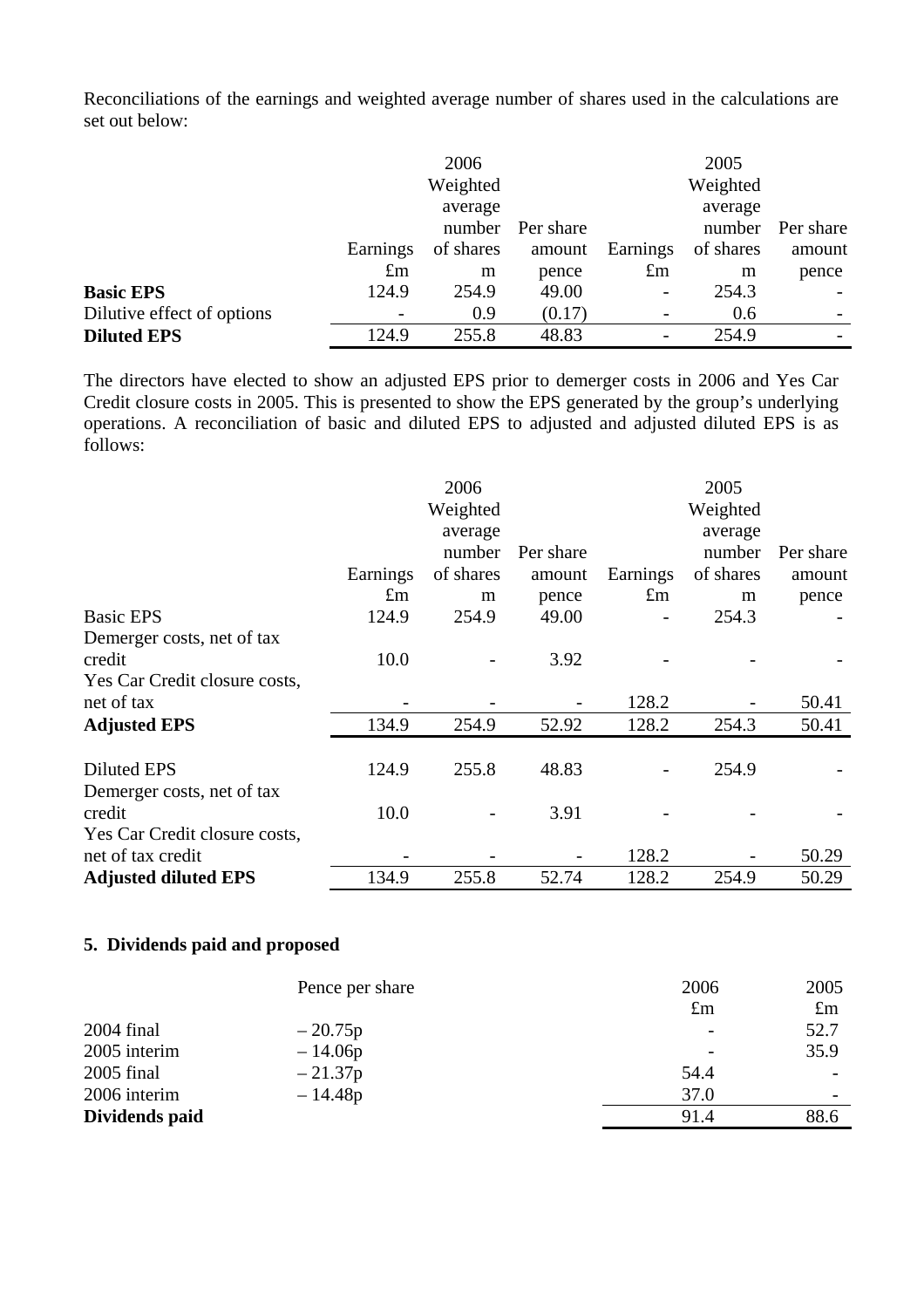Reconciliations of the earnings and weighted average number of shares used in the calculations are set out below:

|                            |             | 2006      |           |                          | 2005      |                          |
|----------------------------|-------------|-----------|-----------|--------------------------|-----------|--------------------------|
|                            |             | Weighted  |           |                          | Weighted  |                          |
|                            |             | average   |           |                          | average   |                          |
|                            |             | number    | Per share |                          | number    | Per share                |
|                            | Earnings    | of shares | amount    | Earnings                 | of shares | amount                   |
|                            | $\pounds$ m | m         | pence     | $\pounds$ m              | m         | pence                    |
| <b>Basic EPS</b>           | 124.9       | 254.9     | 49.00     | $\overline{\phantom{a}}$ | 254.3     |                          |
| Dilutive effect of options |             | 0.9       | (0.17)    |                          | 0.6       |                          |
| <b>Diluted EPS</b>         | 124.9       | 255.8     | 48.83     |                          | 254.9     | $\overline{\phantom{a}}$ |

The directors have elected to show an adjusted EPS prior to demerger costs in 2006 and Yes Car Credit closure costs in 2005. This is presented to show the EPS generated by the group's underlying operations. A reconciliation of basic and diluted EPS to adjusted and adjusted diluted EPS is as follows:

|                               |             | 2006      |           |             | 2005      |           |
|-------------------------------|-------------|-----------|-----------|-------------|-----------|-----------|
|                               |             | Weighted  |           |             | Weighted  |           |
|                               |             | average   |           |             | average   |           |
|                               |             | number    | Per share |             | number    | Per share |
|                               | Earnings    | of shares | amount    | Earnings    | of shares | amount    |
|                               | $\pounds$ m | m         | pence     | $\pounds$ m | m         | pence     |
| <b>Basic EPS</b>              | 124.9       | 254.9     | 49.00     |             | 254.3     |           |
| Demerger costs, net of tax    |             |           |           |             |           |           |
| credit                        | 10.0        |           | 3.92      |             |           |           |
| Yes Car Credit closure costs, |             |           |           |             |           |           |
| net of tax                    |             |           |           | 128.2       |           | 50.41     |
| <b>Adjusted EPS</b>           | 134.9       | 254.9     | 52.92     | 128.2       | 254.3     | 50.41     |
|                               |             |           |           |             |           |           |
| <b>Diluted EPS</b>            | 124.9       | 255.8     | 48.83     |             | 254.9     |           |
| Demerger costs, net of tax    |             |           |           |             |           |           |
| credit                        | 10.0        |           | 3.91      |             |           |           |
| Yes Car Credit closure costs, |             |           |           |             |           |           |
| net of tax credit             |             |           |           | 128.2       |           | 50.29     |
| <b>Adjusted diluted EPS</b>   | 134.9       | 255.8     | 52.74     | 128.2       | 254.9     | 50.29     |

## **5. Dividends paid and proposed**

|                | Pence per share | 2006        | 2005                     |
|----------------|-----------------|-------------|--------------------------|
|                |                 | $\pounds$ m | $\pounds$ m              |
| $2004$ final   | $-20.75p$       |             | 52.7                     |
| 2005 interim   | $-14.06p$       |             | 35.9                     |
| $2005$ final   | $-21.37p$       | 54.4        |                          |
| 2006 interim   | $-14.48p$       | 37.0        | $\overline{\phantom{0}}$ |
| Dividends paid |                 | 91.4        | 88.6                     |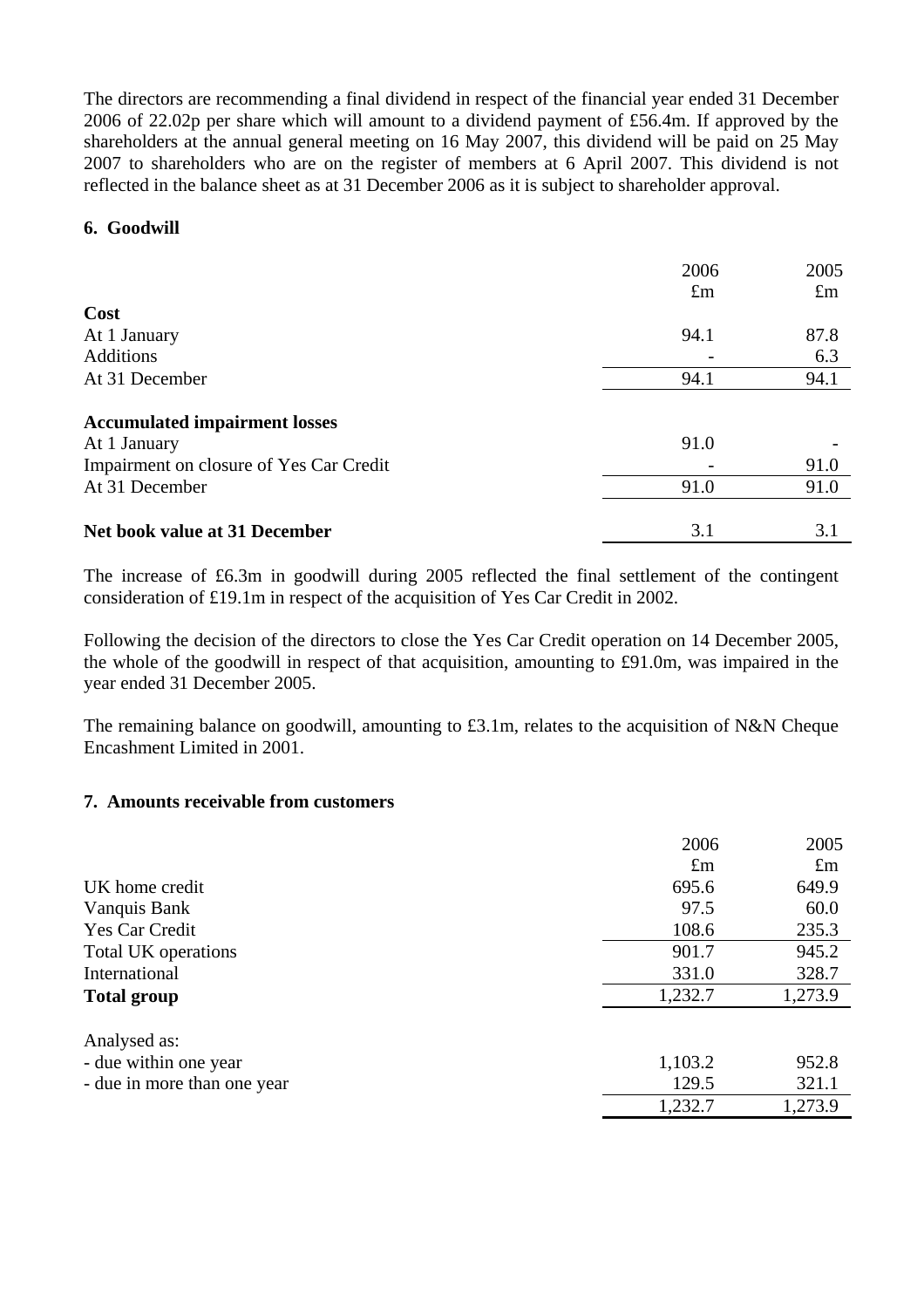The directors are recommending a final dividend in respect of the financial year ended 31 December 2006 of 22.02p per share which will amount to a dividend payment of £56.4m. If approved by the shareholders at the annual general meeting on 16 May 2007, this dividend will be paid on 25 May 2007 to shareholders who are on the register of members at 6 April 2007. This dividend is not reflected in the balance sheet as at 31 December 2006 as it is subject to shareholder approval.

#### **6. Goodwill**

|                                         | 2006        | 2005        |
|-----------------------------------------|-------------|-------------|
|                                         | $\pounds$ m | $\pounds$ m |
| Cost                                    |             |             |
| At 1 January                            | 94.1        | 87.8        |
| <b>Additions</b>                        |             | 6.3         |
| At 31 December                          | 94.1        | 94.1        |
| <b>Accumulated impairment losses</b>    |             |             |
| At 1 January                            | 91.0        |             |
| Impairment on closure of Yes Car Credit |             | 91.0        |
| At 31 December                          | 91.0        | 91.0        |
| Net book value at 31 December           | 3.1         | 3.1         |

The increase of £6.3m in goodwill during 2005 reflected the final settlement of the contingent consideration of £19.1m in respect of the acquisition of Yes Car Credit in 2002.

Following the decision of the directors to close the Yes Car Credit operation on 14 December 2005, the whole of the goodwill in respect of that acquisition, amounting to £91.0m, was impaired in the year ended 31 December 2005.

The remaining balance on goodwill, amounting to £3.1m, relates to the acquisition of N&N Cheque Encashment Limited in 2001.

#### **7. Amounts receivable from customers**

|                             | 2006        | 2005        |
|-----------------------------|-------------|-------------|
|                             | $\pounds$ m | $\pounds$ m |
| UK home credit              | 695.6       | 649.9       |
| Vanquis Bank                | 97.5        | 60.0        |
| Yes Car Credit              | 108.6       | 235.3       |
| Total UK operations         | 901.7       | 945.2       |
| International               | 331.0       | 328.7       |
| <b>Total group</b>          | 1,232.7     | 1,273.9     |
| Analysed as:                |             |             |
| - due within one year       | 1,103.2     | 952.8       |
| - due in more than one year | 129.5       | 321.1       |
|                             | 1,232.7     | 1,273.9     |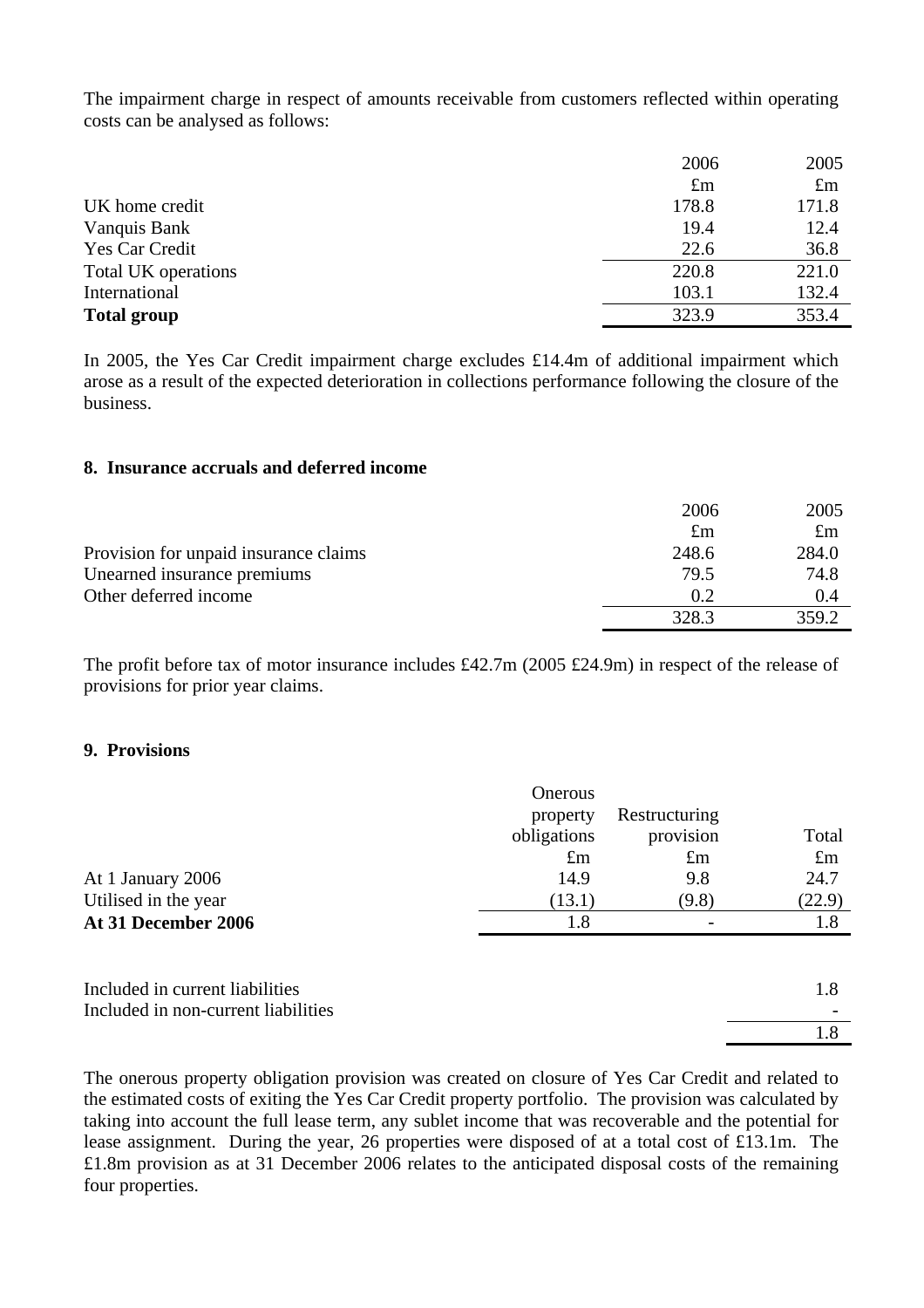The impairment charge in respect of amounts receivable from customers reflected within operating costs can be analysed as follows:

|                     | 2006        | 2005        |
|---------------------|-------------|-------------|
|                     | $\pounds$ m | $\pounds$ m |
| UK home credit      | 178.8       | 171.8       |
| Vanquis Bank        | 19.4        | 12.4        |
| Yes Car Credit      | 22.6        | 36.8        |
| Total UK operations | 220.8       | 221.0       |
| International       | 103.1       | 132.4       |
| <b>Total group</b>  | 323.9       | 353.4       |
|                     |             |             |

In 2005, the Yes Car Credit impairment charge excludes £14.4m of additional impairment which arose as a result of the expected deterioration in collections performance following the closure of the business.

#### **8. Insurance accruals and deferred income**

|                                       | 2006        | 2005        |
|---------------------------------------|-------------|-------------|
|                                       | $\pounds$ m | $\pounds$ m |
| Provision for unpaid insurance claims | 248.6       | 284.0       |
| Unearned insurance premiums           | 79.5        | 74.8        |
| Other deferred income                 | 0.2         | 0.4         |
|                                       | 328.3       | 359.2       |

The profit before tax of motor insurance includes £42.7m (2005 £24.9m) in respect of the release of provisions for prior year claims.

#### **9. Provisions**

|                                     | Onerous     |               |             |
|-------------------------------------|-------------|---------------|-------------|
|                                     | property    | Restructuring |             |
|                                     | obligations | provision     | Total       |
|                                     | $\pounds$ m | $\pounds$ m   | $\pounds$ m |
| At 1 January 2006                   | 14.9        | 9.8           | 24.7        |
| Utilised in the year                | (13.1)      | (9.8)         | (22.9)      |
| At 31 December 2006                 | 1.8         |               | 1.8         |
|                                     |             |               |             |
| Included in current liabilities     |             |               | 1.8         |
| Included in non-current liabilities |             |               |             |
|                                     |             |               | 1.8         |

The onerous property obligation provision was created on closure of Yes Car Credit and related to the estimated costs of exiting the Yes Car Credit property portfolio. The provision was calculated by taking into account the full lease term, any sublet income that was recoverable and the potential for lease assignment. During the year, 26 properties were disposed of at a total cost of £13.1m. The £1.8m provision as at 31 December 2006 relates to the anticipated disposal costs of the remaining four properties.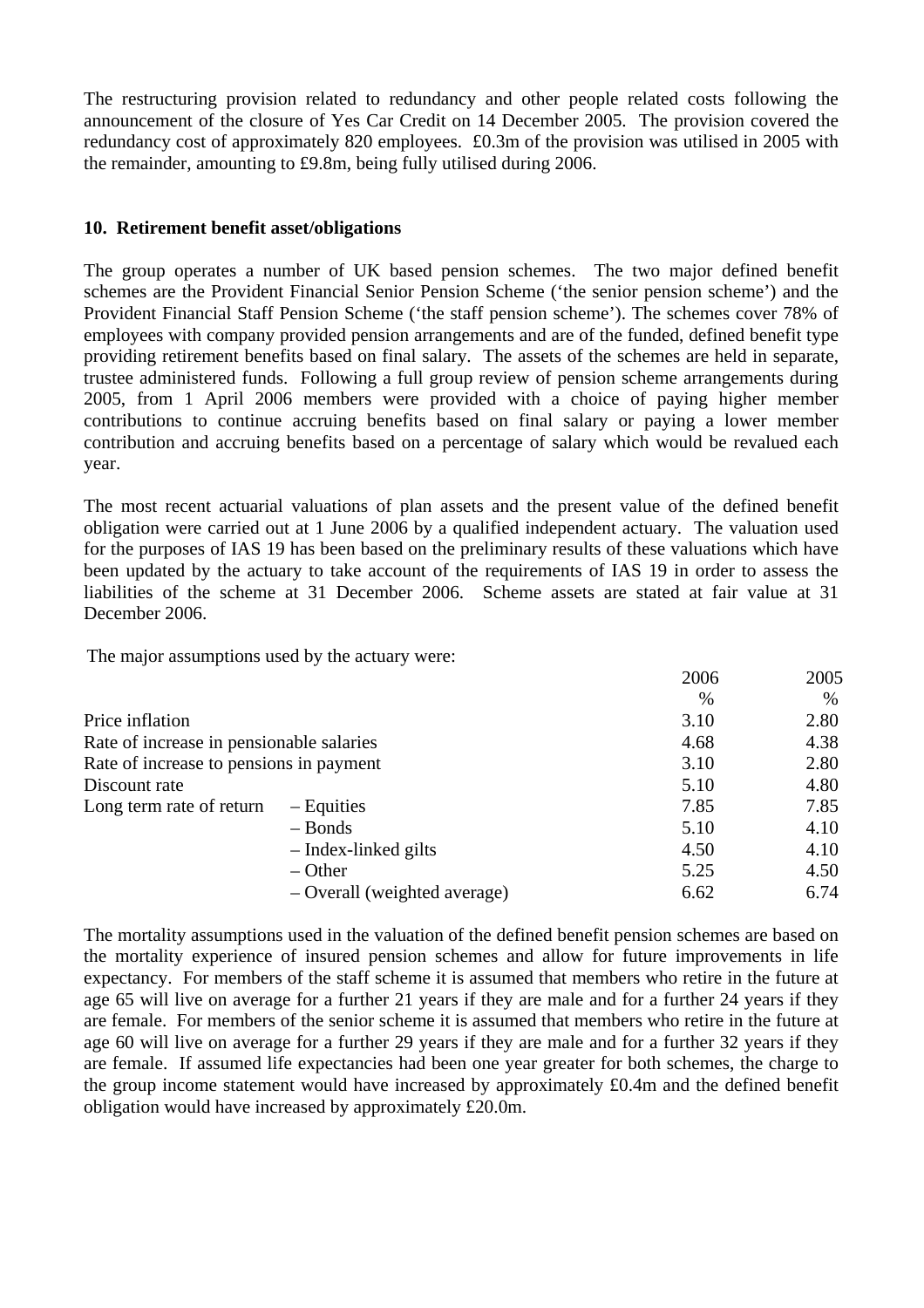The restructuring provision related to redundancy and other people related costs following the announcement of the closure of Yes Car Credit on 14 December 2005. The provision covered the redundancy cost of approximately 820 employees. £0.3m of the provision was utilised in 2005 with the remainder, amounting to £9.8m, being fully utilised during 2006.

## **10. Retirement benefit asset/obligations**

The group operates a number of UK based pension schemes. The two major defined benefit schemes are the Provident Financial Senior Pension Scheme ('the senior pension scheme') and the Provident Financial Staff Pension Scheme ('the staff pension scheme'). The schemes cover 78% of employees with company provided pension arrangements and are of the funded, defined benefit type providing retirement benefits based on final salary. The assets of the schemes are held in separate, trustee administered funds. Following a full group review of pension scheme arrangements during 2005, from 1 April 2006 members were provided with a choice of paying higher member contributions to continue accruing benefits based on final salary or paying a lower member contribution and accruing benefits based on a percentage of salary which would be revalued each year.

The most recent actuarial valuations of plan assets and the present value of the defined benefit obligation were carried out at 1 June 2006 by a qualified independent actuary. The valuation used for the purposes of IAS 19 has been based on the preliminary results of these valuations which have been updated by the actuary to take account of the requirements of IAS 19 in order to assess the liabilities of the scheme at 31 December 2006. Scheme assets are stated at fair value at 31 December 2006.

The major assumptions used by the actuary were:

|                                          |                              | 2006          | 2005 |
|------------------------------------------|------------------------------|---------------|------|
|                                          |                              | $\frac{0}{0}$ | $\%$ |
| Price inflation                          |                              | 3.10          | 2.80 |
| Rate of increase in pensionable salaries |                              | 4.68          | 4.38 |
| Rate of increase to pensions in payment  |                              | 3.10          | 2.80 |
| Discount rate                            |                              | 5.10          | 4.80 |
| Long term rate of return                 | $-$ Equities                 | 7.85          | 7.85 |
|                                          | $-$ Bonds                    | 5.10          | 4.10 |
|                                          | - Index-linked gilts         | 4.50          | 4.10 |
|                                          | $-$ Other                    | 5.25          | 4.50 |
|                                          | - Overall (weighted average) | 6.62          | 6.74 |

The mortality assumptions used in the valuation of the defined benefit pension schemes are based on the mortality experience of insured pension schemes and allow for future improvements in life expectancy. For members of the staff scheme it is assumed that members who retire in the future at age 65 will live on average for a further 21 years if they are male and for a further 24 years if they are female. For members of the senior scheme it is assumed that members who retire in the future at age 60 will live on average for a further 29 years if they are male and for a further 32 years if they are female. If assumed life expectancies had been one year greater for both schemes, the charge to the group income statement would have increased by approximately £0.4m and the defined benefit obligation would have increased by approximately £20.0m.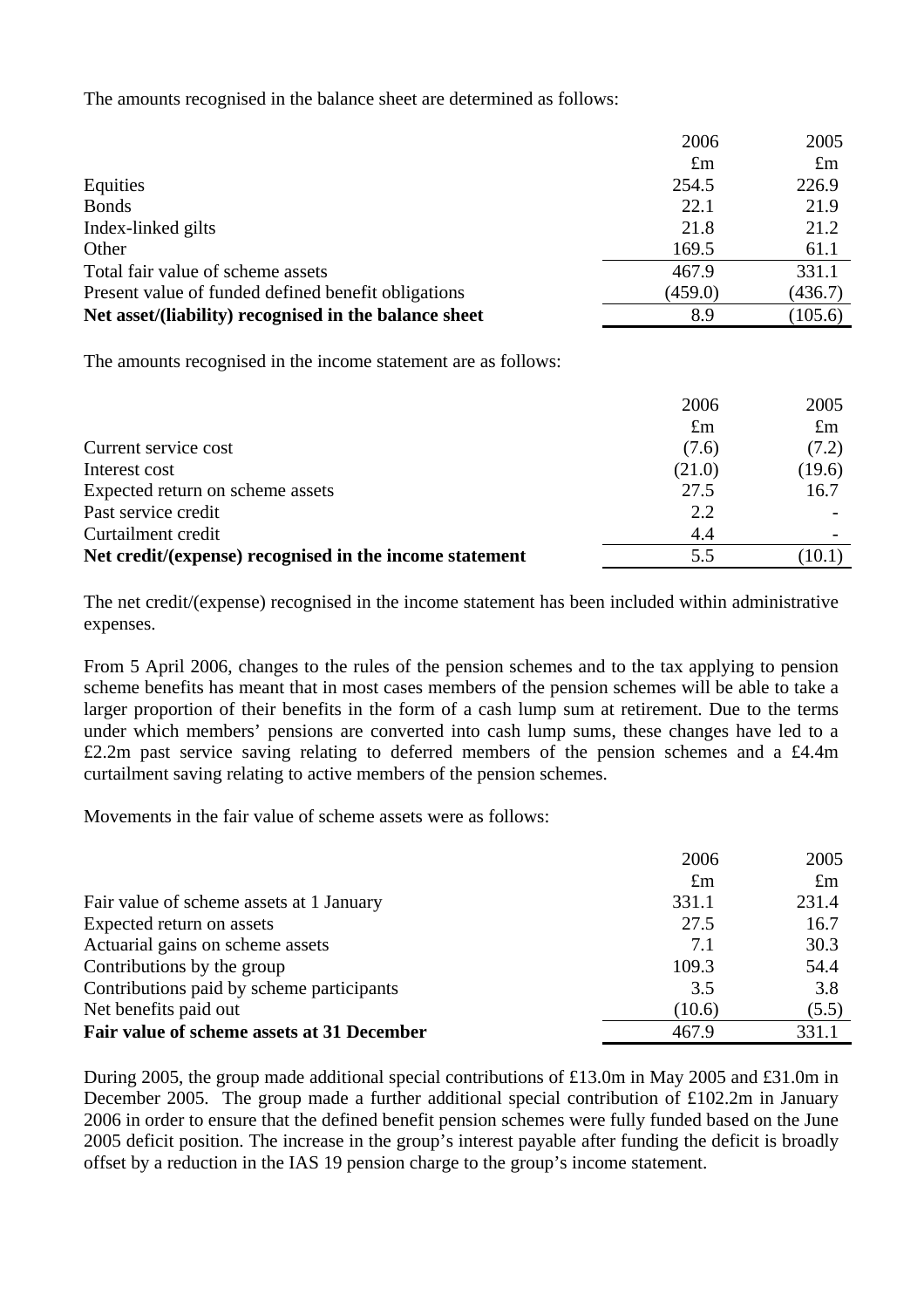The amounts recognised in the balance sheet are determined as follows:

|                                                       | 2006        | 2005        |
|-------------------------------------------------------|-------------|-------------|
|                                                       | $\pounds$ m | $\pounds$ m |
| Equities                                              | 254.5       | 226.9       |
| <b>Bonds</b>                                          | 22.1        | 21.9        |
| Index-linked gilts                                    | 21.8        | 21.2        |
| Other                                                 | 169.5       | 61.1        |
| Total fair value of scheme assets                     | 467.9       | 331.1       |
| Present value of funded defined benefit obligations   | (459.0)     | (436.7)     |
| Net asset/(liability) recognised in the balance sheet | 8.9         | (105.6)     |

The amounts recognised in the income statement are as follows:

|                                                         | 2006        | 2005        |
|---------------------------------------------------------|-------------|-------------|
|                                                         | $\pounds$ m | $\pounds$ m |
| Current service cost                                    | (7.6)       | (7.2)       |
| Interest cost                                           | (21.0)      | (19.6)      |
| Expected return on scheme assets                        | 27.5        | 16.7        |
| Past service credit                                     | 2.2         |             |
| Curtailment credit                                      | 4.4         |             |
| Net credit/(expense) recognised in the income statement | 5.5         | 10.1)       |

The net credit/(expense) recognised in the income statement has been included within administrative expenses.

From 5 April 2006, changes to the rules of the pension schemes and to the tax applying to pension scheme benefits has meant that in most cases members of the pension schemes will be able to take a larger proportion of their benefits in the form of a cash lump sum at retirement. Due to the terms under which members' pensions are converted into cash lump sums, these changes have led to a £2.2m past service saving relating to deferred members of the pension schemes and a £4.4m curtailment saving relating to active members of the pension schemes.

Movements in the fair value of scheme assets were as follows:

|                                            | 2006        | 2005        |
|--------------------------------------------|-------------|-------------|
|                                            | $\pounds$ m | $\pounds$ m |
| Fair value of scheme assets at 1 January   | 331.1       | 231.4       |
| Expected return on assets                  | 27.5        | 16.7        |
| Actuarial gains on scheme assets           | 7.1         | 30.3        |
| Contributions by the group                 | 109.3       | 54.4        |
| Contributions paid by scheme participants  | 3.5         | 3.8         |
| Net benefits paid out                      | (10.6)      | (5.5)       |
| Fair value of scheme assets at 31 December | 467.9       | 331.1       |

During 2005, the group made additional special contributions of £13.0m in May 2005 and £31.0m in December 2005. The group made a further additional special contribution of £102.2m in January 2006 in order to ensure that the defined benefit pension schemes were fully funded based on the June 2005 deficit position. The increase in the group's interest payable after funding the deficit is broadly offset by a reduction in the IAS 19 pension charge to the group's income statement.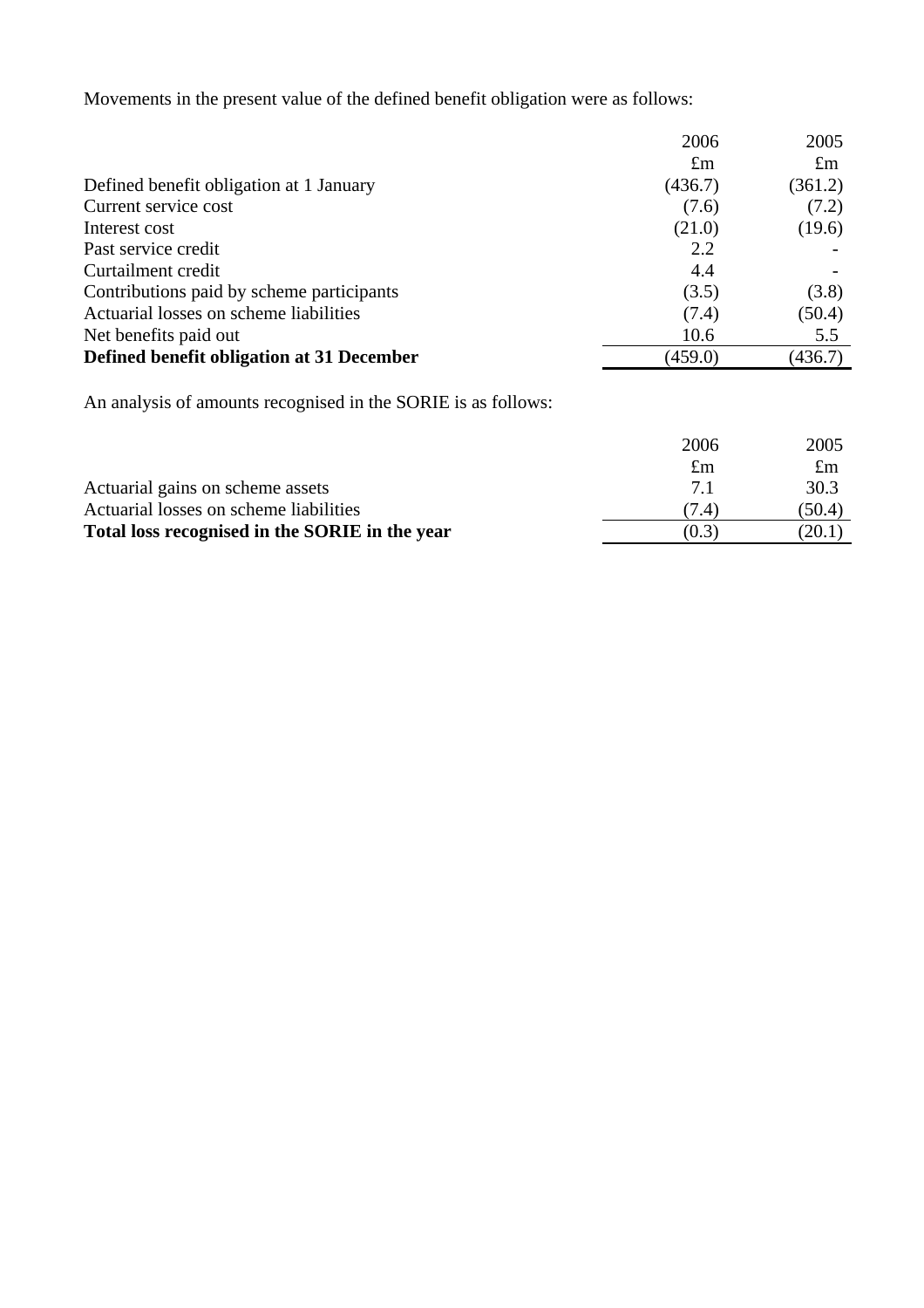Movements in the present value of the defined benefit obligation were as follows:

|                                           | 2006        | 2005        |
|-------------------------------------------|-------------|-------------|
|                                           | $\pounds$ m | $\pounds$ m |
| Defined benefit obligation at 1 January   | (436.7)     | (361.2)     |
| Current service cost                      | (7.6)       | (7.2)       |
| Interest cost                             | (21.0)      | (19.6)      |
| Past service credit                       | 2.2         |             |
| Curtailment credit                        | 4.4         |             |
| Contributions paid by scheme participants | (3.5)       | (3.8)       |
| Actuarial losses on scheme liabilities    | (7.4)       | (50.4)      |
| Net benefits paid out                     | 10.6        | 5.5         |
| Defined benefit obligation at 31 December | (459.0)     | (436.7)     |

An analysis of amounts recognised in the SORIE is as follows:

|                                                | 2006        | 2005        |
|------------------------------------------------|-------------|-------------|
|                                                | $\pounds$ m | $\pounds$ m |
| Actuarial gains on scheme assets               | 71          | 30.3        |
| Actuarial losses on scheme liabilities         | (7.4)       | (50.4)      |
| Total loss recognised in the SORIE in the year | (0.3)       | (20.1       |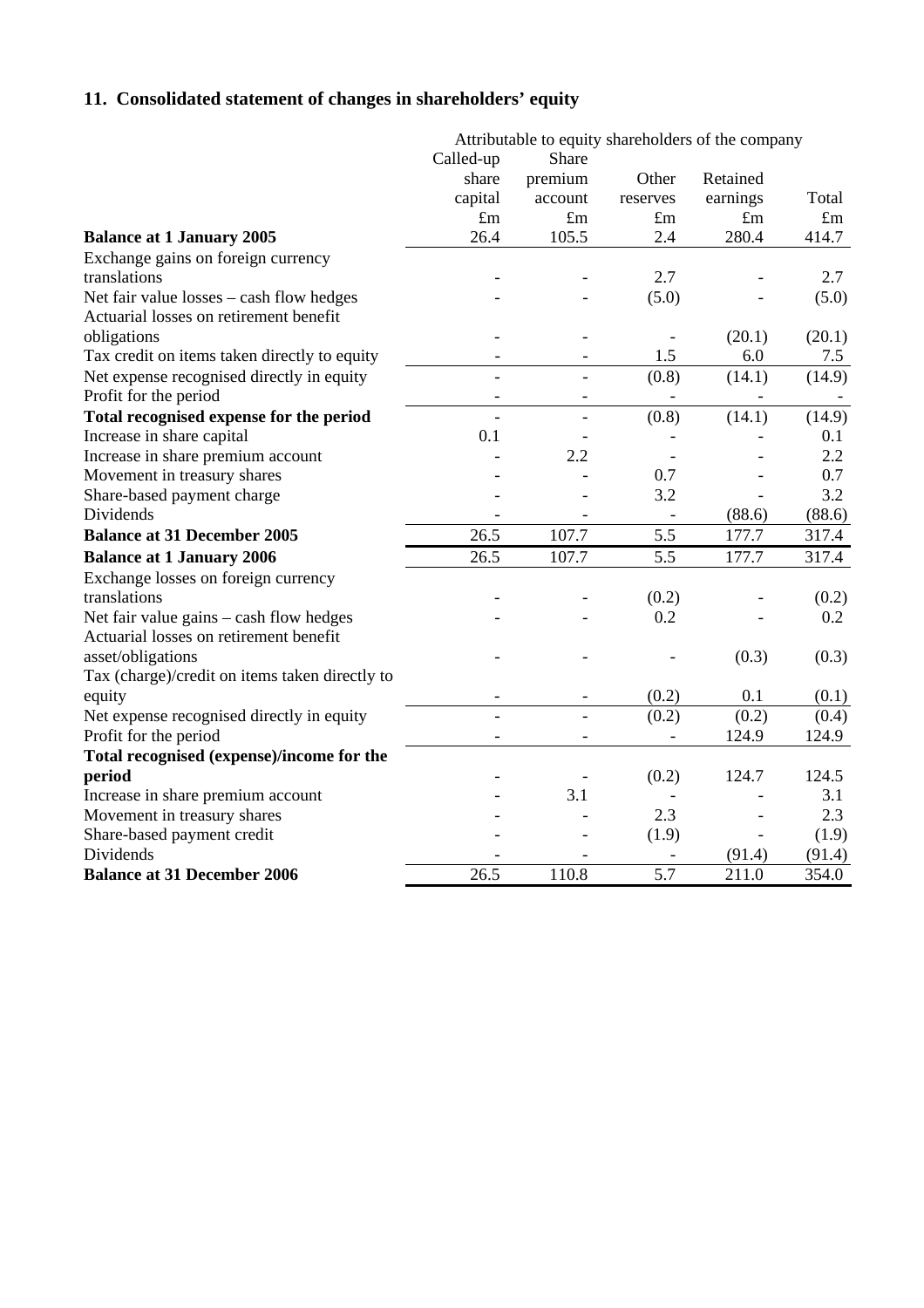# **11. Consolidated statement of changes in shareholders' equity**

|                                                | Attributable to equity shareholders of the company |                          |               |             |             |
|------------------------------------------------|----------------------------------------------------|--------------------------|---------------|-------------|-------------|
|                                                | Called-up                                          | Share                    |               |             |             |
|                                                | share                                              | premium                  | Other         | Retained    |             |
|                                                | capital                                            | account                  | reserves      | earnings    | Total       |
|                                                | $\pounds$ m                                        | $\pounds$ m              | $\pounds$ m   | $\pounds$ m | $\pounds$ m |
| <b>Balance at 1 January 2005</b>               | 26.4                                               | 105.5                    | 2.4           | 280.4       | 414.7       |
| Exchange gains on foreign currency             |                                                    |                          |               |             |             |
| translations                                   |                                                    |                          | 2.7           |             | 2.7         |
| Net fair value losses - cash flow hedges       |                                                    |                          | (5.0)         |             | (5.0)       |
| Actuarial losses on retirement benefit         |                                                    |                          |               |             |             |
| obligations                                    |                                                    |                          |               | (20.1)      | (20.1)      |
| Tax credit on items taken directly to equity   |                                                    |                          | 1.5           | 6.0         | 7.5         |
| Net expense recognised directly in equity      |                                                    |                          | (0.8)         | (14.1)      | (14.9)      |
| Profit for the period                          |                                                    |                          |               |             |             |
| Total recognised expense for the period        | $\overline{a}$                                     |                          | (0.8)         | (14.1)      | (14.9)      |
| Increase in share capital                      | 0.1                                                |                          |               |             | 0.1         |
| Increase in share premium account              |                                                    | 2.2                      |               |             | 2.2         |
| Movement in treasury shares                    |                                                    |                          | 0.7           |             | 0.7         |
| Share-based payment charge                     |                                                    |                          | 3.2           |             | 3.2         |
| Dividends                                      |                                                    |                          | $\frac{1}{2}$ | (88.6)      | (88.6)      |
| <b>Balance at 31 December 2005</b>             | 26.5                                               | 107.7                    | 5.5           | 177.7       | 317.4       |
| <b>Balance at 1 January 2006</b>               | 26.5                                               | 107.7                    | 5.5           | 177.7       | 317.4       |
| Exchange losses on foreign currency            |                                                    |                          |               |             |             |
| translations                                   |                                                    |                          | (0.2)         |             | (0.2)       |
| Net fair value gains – cash flow hedges        |                                                    |                          | 0.2           |             | 0.2         |
| Actuarial losses on retirement benefit         |                                                    |                          |               |             |             |
| asset/obligations                              |                                                    |                          |               | (0.3)       | (0.3)       |
| Tax (charge)/credit on items taken directly to |                                                    |                          |               |             |             |
| equity                                         | $\overline{\phantom{a}}$                           | $\overline{\phantom{0}}$ | (0.2)         | 0.1         | (0.1)       |
| Net expense recognised directly in equity      | $\overline{a}$                                     | $\overline{\phantom{a}}$ | (0.2)         | (0.2)       | (0.4)       |
| Profit for the period                          |                                                    |                          |               | 124.9       | 124.9       |
| Total recognised (expense)/income for the      |                                                    |                          |               |             |             |
| period                                         |                                                    |                          | (0.2)         | 124.7       | 124.5       |
| Increase in share premium account              |                                                    | 3.1                      |               |             | 3.1         |
| Movement in treasury shares                    |                                                    |                          | 2.3           |             | 2.3         |
| Share-based payment credit                     |                                                    |                          | (1.9)         |             | (1.9)       |
| Dividends                                      |                                                    |                          |               | (91.4)      | (91.4)      |
| <b>Balance at 31 December 2006</b>             | 26.5                                               | 110.8                    | 5.7           | 211.0       | 354.0       |